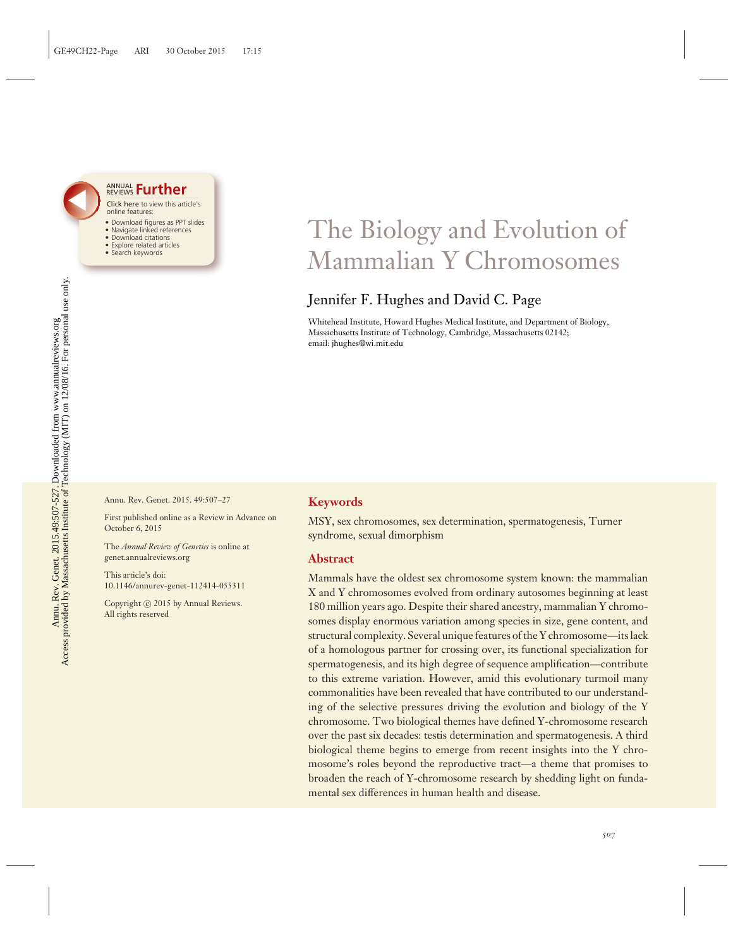

#### Click here to view this article's online features: ANNUAL REVIEWS **[Further](http://www.annualreviews.org/doi/full/10.1146/annurev-genet-112414-055311)**

- Download figures as PPT slides
- Navigate linked references
- Download citations
- Explore related articles • Search keywords
- 

# The Biology and Evolution of Mammalian Y Chromosomes

## Jennifer F. Hughes and David C. Page

Whitehead Institute, Howard Hughes Medical Institute, and Department of Biology, Massachusetts Institute of Technology, Cambridge, Massachusetts 02142; email: jhughes@wi.mit.edu

Annu. Rev. Genet. 2015. 49:507–27

First published online as a Review in Advance on October 6, 2015

The *Annual Review of Genetics* is online at genet.annualreviews.org

This article's doi: 10.1146/annurev-genet-112414-055311

Copyright © 2015 by Annual Reviews. All rights reserved

## **Keywords**

MSY, sex chromosomes, sex determination, spermatogenesis, Turner syndrome, sexual dimorphism

## **Abstract**

Mammals have the oldest sex chromosome system known: the mammalian X and Y chromosomes evolved from ordinary autosomes beginning at least 180 million years ago. Despite their shared ancestry, mammalian Y chromosomes display enormous variation among species in size, gene content, and structural complexity. Several unique features of the Y chromosome—its lack of a homologous partner for crossing over, its functional specialization for spermatogenesis, and its high degree of sequence amplification—contribute to this extreme variation. However, amid this evolutionary turmoil many commonalities have been revealed that have contributed to our understanding of the selective pressures driving the evolution and biology of the Y chromosome. Two biological themes have defined Y-chromosome research over the past six decades: testis determination and spermatogenesis. A third biological theme begins to emerge from recent insights into the Y chromosome's roles beyond the reproductive tract—a theme that promises to broaden the reach of Y-chromosome research by shedding light on fundamental sex differences in human health and disease.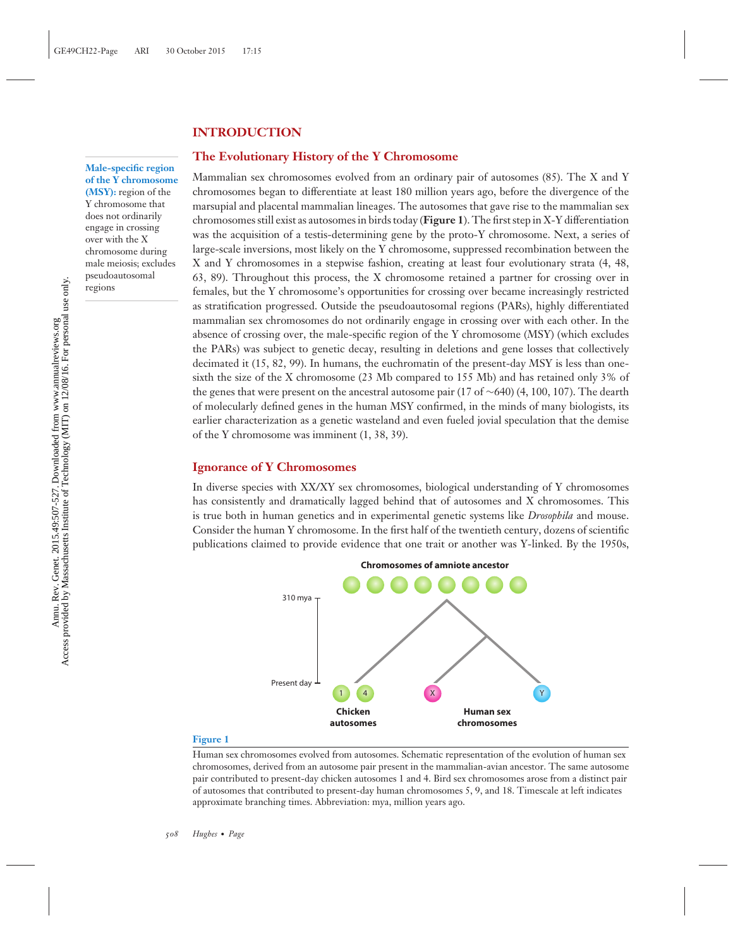## **INTRODUCTION**

#### **Male-specific region of the Y chromosome (MSY):** region of the

Y chromosome that does not ordinarily engage in crossing over with the X chromosome during male meiosis; excludes pseudoautosomal regions

## **The Evolutionary History of the Y Chromosome**

Mammalian sex chromosomes evolved from an ordinary pair of autosomes (85). The X and Y chromosomes began to differentiate at least 180 million years ago, before the divergence of the marsupial and placental mammalian lineages. The autosomes that gave rise to the mammalian sex chromosomes still exist as autosomes in birds today (**Figure 1**). The first step in X-Y differentiation was the acquisition of a testis-determining gene by the proto-Y chromosome. Next, a series of large-scale inversions, most likely on the Y chromosome, suppressed recombination between the X and Y chromosomes in a stepwise fashion, creating at least four evolutionary strata (4, 48, 63, 89). Throughout this process, the X chromosome retained a partner for crossing over in females, but the Y chromosome's opportunities for crossing over became increasingly restricted as stratification progressed. Outside the pseudoautosomal regions (PARs), highly differentiated mammalian sex chromosomes do not ordinarily engage in crossing over with each other. In the absence of crossing over, the male-specific region of the Y chromosome (MSY) (which excludes the PARs) was subject to genetic decay, resulting in deletions and gene losses that collectively decimated it (15, 82, 99). In humans, the euchromatin of the present-day MSY is less than onesixth the size of the X chromosome (23 Mb compared to 155 Mb) and has retained only 3% of the genes that were present on the ancestral autosome pair (17 of ∼640) (4, 100, 107). The dearth of molecularly defined genes in the human MSY confirmed, in the minds of many biologists, its earlier characterization as a genetic wasteland and even fueled jovial speculation that the demise of the Y chromosome was imminent (1, 38, 39).

## **Ignorance of Y Chromosomes**

In diverse species with XX/XY sex chromosomes, biological understanding of Y chromosomes has consistently and dramatically lagged behind that of autosomes and X chromosomes. This is true both in human genetics and in experimental genetic systems like *Drosophila* and mouse. Consider the human Y chromosome. In the first half of the twentieth century, dozens of scientific publications claimed to provide evidence that one trait or another was Y-linked. By the 1950s,



#### **Figure 1**

Human sex chromosomes evolved from autosomes. Schematic representation of the evolution of human sex chromosomes, derived from an autosome pair present in the mammalian-avian ancestor. The same autosome pair contributed to present-day chicken autosomes 1 and 4. Bird sex chromosomes arose from a distinct pair of autosomes that contributed to present-day human chromosomes 5, 9, and 18. Timescale at left indicates approximate branching times. Abbreviation: mya, million years ago.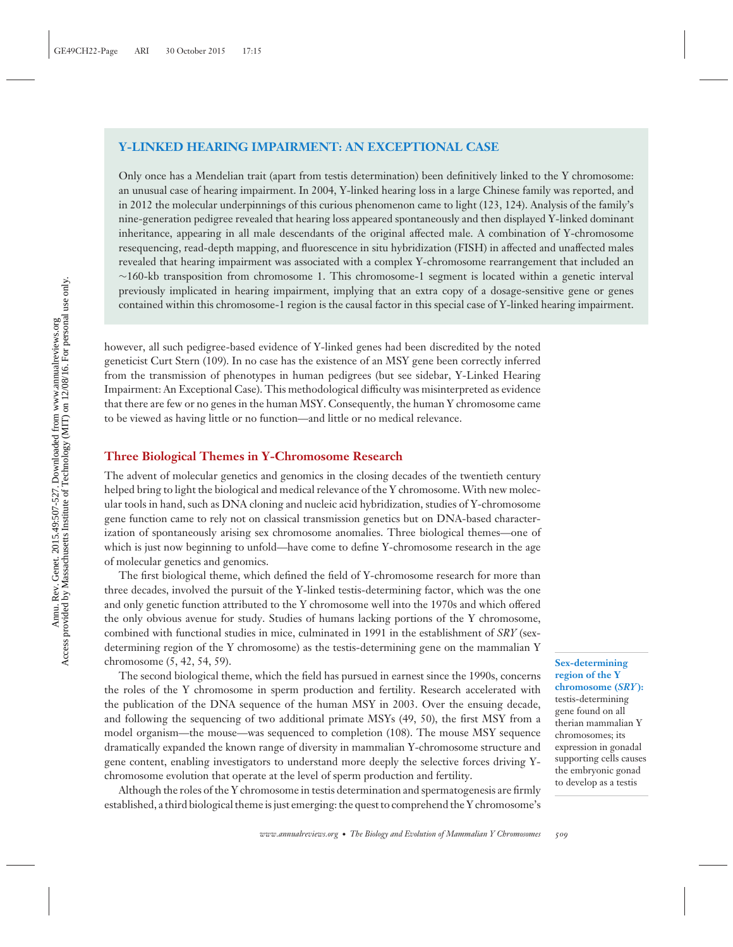## **Y-LINKED HEARING IMPAIRMENT: AN EXCEPTIONAL CASE**

Only once has a Mendelian trait (apart from testis determination) been definitively linked to the Y chromosome: an unusual case of hearing impairment. In 2004, Y-linked hearing loss in a large Chinese family was reported, and in 2012 the molecular underpinnings of this curious phenomenon came to light (123, 124). Analysis of the family's nine-generation pedigree revealed that hearing loss appeared spontaneously and then displayed Y-linked dominant inheritance, appearing in all male descendants of the original affected male. A combination of Y-chromosome resequencing, read-depth mapping, and fluorescence in situ hybridization (FISH) in affected and unaffected males revealed that hearing impairment was associated with a complex Y-chromosome rearrangement that included an ∼160-kb transposition from chromosome 1. This chromosome-1 segment is located within a genetic interval previously implicated in hearing impairment, implying that an extra copy of a dosage-sensitive gene or genes contained within this chromosome-1 region is the causal factor in this special case of Y-linked hearing impairment.

however, all such pedigree-based evidence of Y-linked genes had been discredited by the noted geneticist Curt Stern (109). In no case has the existence of an MSY gene been correctly inferred from the transmission of phenotypes in human pedigrees (but see sidebar, Y-Linked Hearing Impairment: An Exceptional Case). This methodological difficulty was misinterpreted as evidence that there are few or no genes in the human MSY. Consequently, the human Y chromosome came to be viewed as having little or no function—and little or no medical relevance.

## **Three Biological Themes in Y-Chromosome Research**

The advent of molecular genetics and genomics in the closing decades of the twentieth century helped bring to light the biological and medical relevance of the Y chromosome. With new molecular tools in hand, such as DNA cloning and nucleic acid hybridization, studies of Y-chromosome gene function came to rely not on classical transmission genetics but on DNA-based characterization of spontaneously arising sex chromosome anomalies. Three biological themes—one of which is just now beginning to unfold—have come to define Y-chromosome research in the age of molecular genetics and genomics.

The first biological theme, which defined the field of Y-chromosome research for more than three decades, involved the pursuit of the Y-linked testis-determining factor, which was the one and only genetic function attributed to the Y chromosome well into the 1970s and which offered the only obvious avenue for study. Studies of humans lacking portions of the Y chromosome, combined with functional studies in mice, culminated in 1991 in the establishment of *SRY* (sexdetermining region of the Y chromosome) as the testis-determining gene on the mammalian Y chromosome (5, 42, 54, 59).

The second biological theme, which the field has pursued in earnest since the 1990s, concerns the roles of the Y chromosome in sperm production and fertility. Research accelerated with the publication of the DNA sequence of the human MSY in 2003. Over the ensuing decade, and following the sequencing of two additional primate MSYs (49, 50), the first MSY from a model organism—the mouse—was sequenced to completion (108). The mouse MSY sequence dramatically expanded the known range of diversity in mammalian Y-chromosome structure and gene content, enabling investigators to understand more deeply the selective forces driving Ychromosome evolution that operate at the level of sperm production and fertility.

Although the roles of the Y chromosome in testis determination and spermatogenesis are firmly established, a third biological theme is just emerging: the quest to comprehend the Y chromosome's **region of the Y chromosome (***SRY* **):** testis-determining gene found on all therian mammalian Y chromosomes; its expression in gonadal supporting cells causes the embryonic gonad to develop as a testis

**Sex-determining**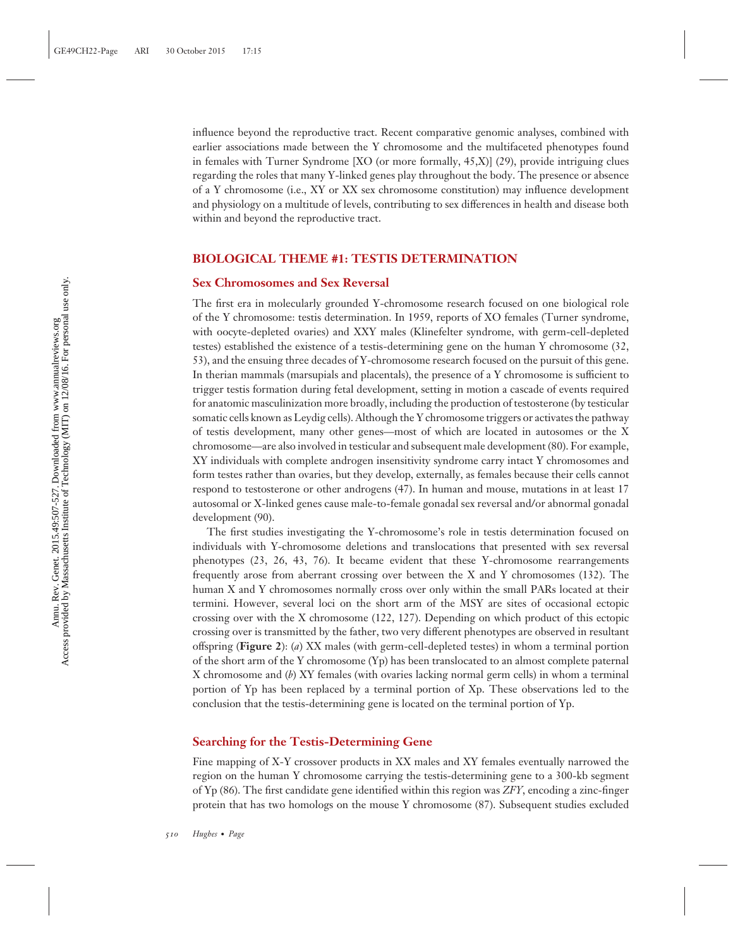influence beyond the reproductive tract. Recent comparative genomic analyses, combined with earlier associations made between the Y chromosome and the multifaceted phenotypes found in females with Turner Syndrome [XO (or more formally, 45,X)] (29), provide intriguing clues regarding the roles that many Y-linked genes play throughout the body. The presence or absence of a Y chromosome (i.e., XY or XX sex chromosome constitution) may influence development and physiology on a multitude of levels, contributing to sex differences in health and disease both within and beyond the reproductive tract.

## **BIOLOGICAL THEME #1: TESTIS DETERMINATION**

#### **Sex Chromosomes and Sex Reversal**

The first era in molecularly grounded Y-chromosome research focused on one biological role of the Y chromosome: testis determination. In 1959, reports of XO females (Turner syndrome, with oocyte-depleted ovaries) and XXY males (Klinefelter syndrome, with germ-cell-depleted testes) established the existence of a testis-determining gene on the human Y chromosome (32, 53), and the ensuing three decades of Y-chromosome research focused on the pursuit of this gene. In therian mammals (marsupials and placentals), the presence of a Y chromosome is sufficient to trigger testis formation during fetal development, setting in motion a cascade of events required for anatomic masculinization more broadly, including the production of testosterone (by testicular somatic cells known as Leydig cells). Although the Y chromosome triggers or activates the pathway of testis development, many other genes—most of which are located in autosomes or the X chromosome—are also involved in testicular and subsequent male development (80). For example, XY individuals with complete androgen insensitivity syndrome carry intact Y chromosomes and form testes rather than ovaries, but they develop, externally, as females because their cells cannot respond to testosterone or other androgens (47). In human and mouse, mutations in at least 17 autosomal or X-linked genes cause male-to-female gonadal sex reversal and/or abnormal gonadal development (90).

The first studies investigating the Y-chromosome's role in testis determination focused on individuals with Y-chromosome deletions and translocations that presented with sex reversal phenotypes (23, 26, 43, 76). It became evident that these Y-chromosome rearrangements frequently arose from aberrant crossing over between the X and Y chromosomes (132). The human X and Y chromosomes normally cross over only within the small PARs located at their termini. However, several loci on the short arm of the MSY are sites of occasional ectopic crossing over with the X chromosome (122, 127). Depending on which product of this ectopic crossing over is transmitted by the father, two very different phenotypes are observed in resultant offspring (**Figure 2**): (*a*) XX males (with germ-cell-depleted testes) in whom a terminal portion of the short arm of the Y chromosome (Yp) has been translocated to an almost complete paternal X chromosome and (*b*) XY females (with ovaries lacking normal germ cells) in whom a terminal portion of Yp has been replaced by a terminal portion of Xp. These observations led to the conclusion that the testis-determining gene is located on the terminal portion of Yp.

#### **Searching for the Testis-Determining Gene**

Fine mapping of X-Y crossover products in XX males and XY females eventually narrowed the region on the human Y chromosome carrying the testis-determining gene to a 300-kb segment of Yp (86). The first candidate gene identified within this region was *ZFY*, encoding a zinc-finger protein that has two homologs on the mouse Y chromosome (87). Subsequent studies excluded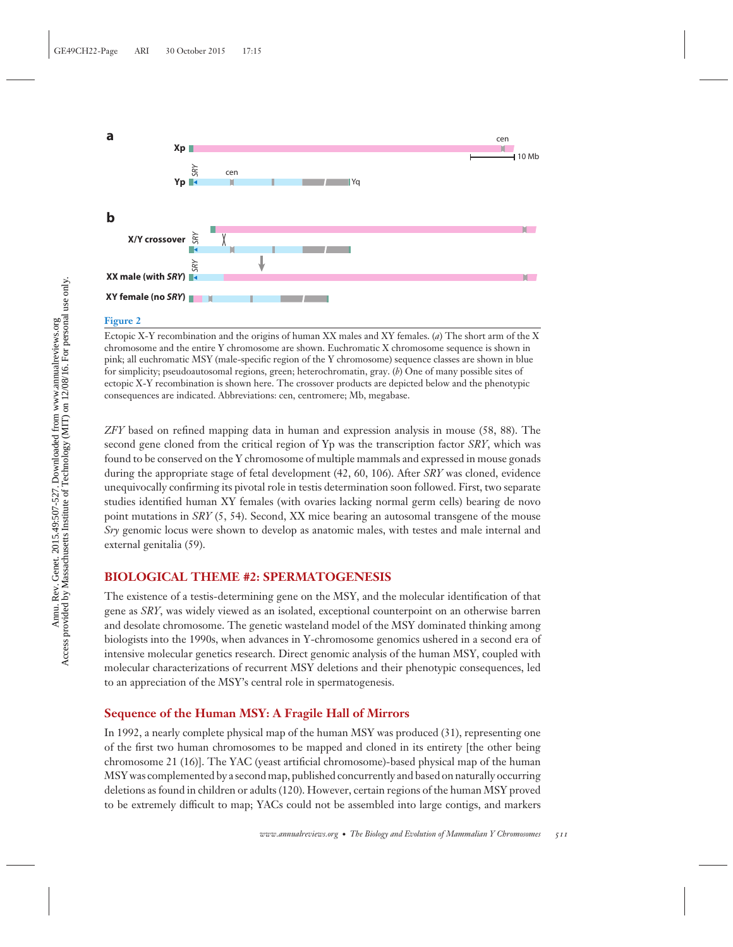

Ectopic X-Y recombination and the origins of human XX males and XY females. (*a*) The short arm of the X chromosome and the entire Y chromosome are shown. Euchromatic X chromosome sequence is shown in pink; all euchromatic MSY (male-specific region of the Y chromosome) sequence classes are shown in blue for simplicity; pseudoautosomal regions, green; heterochromatin, gray. (*b*) One of many possible sites of ectopic X-Y recombination is shown here. The crossover products are depicted below and the phenotypic consequences are indicated. Abbreviations: cen, centromere; Mb, megabase.

*ZFY* based on refined mapping data in human and expression analysis in mouse (58, 88). The second gene cloned from the critical region of Yp was the transcription factor *SRY*, which was found to be conserved on the Y chromosome of multiple mammals and expressed in mouse gonads during the appropriate stage of fetal development (42, 60, 106). After *SRY* was cloned, evidence unequivocally confirming its pivotal role in testis determination soon followed. First, two separate studies identified human XY females (with ovaries lacking normal germ cells) bearing de novo point mutations in *SRY* (5, 54). Second, XX mice bearing an autosomal transgene of the mouse *Sry* genomic locus were shown to develop as anatomic males, with testes and male internal and external genitalia (59).

## **BIOLOGICAL THEME #2: SPERMATOGENESIS**

The existence of a testis-determining gene on the MSY, and the molecular identification of that gene as *SRY*, was widely viewed as an isolated, exceptional counterpoint on an otherwise barren and desolate chromosome. The genetic wasteland model of the MSY dominated thinking among biologists into the 1990s, when advances in Y-chromosome genomics ushered in a second era of intensive molecular genetics research. Direct genomic analysis of the human MSY, coupled with molecular characterizations of recurrent MSY deletions and their phenotypic consequences, led to an appreciation of the MSY's central role in spermatogenesis.

## **Sequence of the Human MSY: A Fragile Hall of Mirrors**

In 1992, a nearly complete physical map of the human MSY was produced (31), representing one of the first two human chromosomes to be mapped and cloned in its entirety [the other being chromosome 21 (16)]. The YAC (yeast artificial chromosome)-based physical map of the human MSY was complemented by a second map, published concurrently and based on naturally occurring deletions as found in children or adults (120). However, certain regions of the human MSY proved to be extremely difficult to map; YACs could not be assembled into large contigs, and markers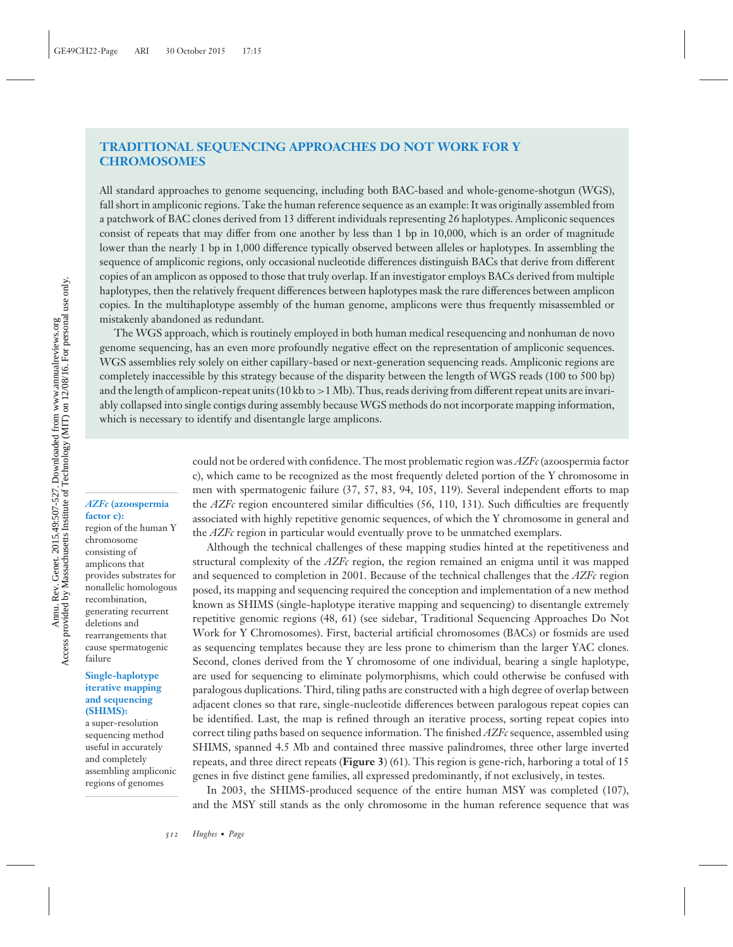## **TRADITIONAL SEQUENCING APPROACHES DO NOT WORK FOR Y CHROMOSOMES**

All standard approaches to genome sequencing, including both BAC-based and whole-genome-shotgun (WGS), fall short in ampliconic regions. Take the human reference sequence as an example: It was originally assembled from a patchwork of BAC clones derived from 13 different individuals representing 26 haplotypes. Ampliconic sequences consist of repeats that may differ from one another by less than 1 bp in 10,000, which is an order of magnitude lower than the nearly 1 bp in 1,000 difference typically observed between alleles or haplotypes. In assembling the sequence of ampliconic regions, only occasional nucleotide differences distinguish BACs that derive from different copies of an amplicon as opposed to those that truly overlap. If an investigator employs BACs derived from multiple haplotypes, then the relatively frequent differences between haplotypes mask the rare differences between amplicon copies. In the multihaplotype assembly of the human genome, amplicons were thus frequently misassembled or mistakenly abandoned as redundant.

The WGS approach, which is routinely employed in both human medical resequencing and nonhuman de novo genome sequencing, has an even more profoundly negative effect on the representation of ampliconic sequences. WGS assemblies rely solely on either capillary-based or next-generation sequencing reads. Ampliconic regions are completely inaccessible by this strategy because of the disparity between the length of WGS reads (100 to 500 bp) and the length of amplicon-repeat units (10 kb to *>*1 Mb). Thus, reads deriving from different repeat units are invariably collapsed into single contigs during assembly because WGS methods do not incorporate mapping information, which is necessary to identify and disentangle large amplicons.

## *AZFc* **(azoospermia factor c):**

region of the human Y chromosome consisting of amplicons that provides substrates for nonallelic homologous recombination, generating recurrent deletions and rearrangements that cause spermatogenic failure

#### **Single-haplotype iterative mapping and sequencing (SHIMS):**

a super-resolution sequencing method useful in accurately and completely assembling ampliconic regions of genomes

could not be ordered with confidence. The most problematic region was *AZFc* (azoospermia factor c), which came to be recognized as the most frequently deleted portion of the Y chromosome in men with spermatogenic failure (37, 57, 83, 94, 105, 119). Several independent efforts to map the *AZFc* region encountered similar difficulties (56, 110, 131). Such difficulties are frequently associated with highly repetitive genomic sequences, of which the Y chromosome in general and the *AZFc* region in particular would eventually prove to be unmatched exemplars.

Although the technical challenges of these mapping studies hinted at the repetitiveness and structural complexity of the *AZFc* region, the region remained an enigma until it was mapped and sequenced to completion in 2001. Because of the technical challenges that the *AZFc* region posed, its mapping and sequencing required the conception and implementation of a new method known as SHIMS (single-haplotype iterative mapping and sequencing) to disentangle extremely repetitive genomic regions (48, 61) (see sidebar, Traditional Sequencing Approaches Do Not Work for Y Chromosomes). First, bacterial artificial chromosomes (BACs) or fosmids are used as sequencing templates because they are less prone to chimerism than the larger YAC clones. Second, clones derived from the Y chromosome of one individual, bearing a single haplotype, are used for sequencing to eliminate polymorphisms, which could otherwise be confused with paralogous duplications. Third, tiling paths are constructed with a high degree of overlap between adjacent clones so that rare, single-nucleotide differences between paralogous repeat copies can be identified. Last, the map is refined through an iterative process, sorting repeat copies into correct tiling paths based on sequence information. The finished *AZFc* sequence, assembled using SHIMS, spanned 4.5 Mb and contained three massive palindromes, three other large inverted repeats, and three direct repeats (**Figure 3**) (61). This region is gene-rich, harboring a total of 15 genes in five distinct gene families, all expressed predominantly, if not exclusively, in testes.

In 2003, the SHIMS-produced sequence of the entire human MSY was completed (107), and the MSY still stands as the only chromosome in the human reference sequence that was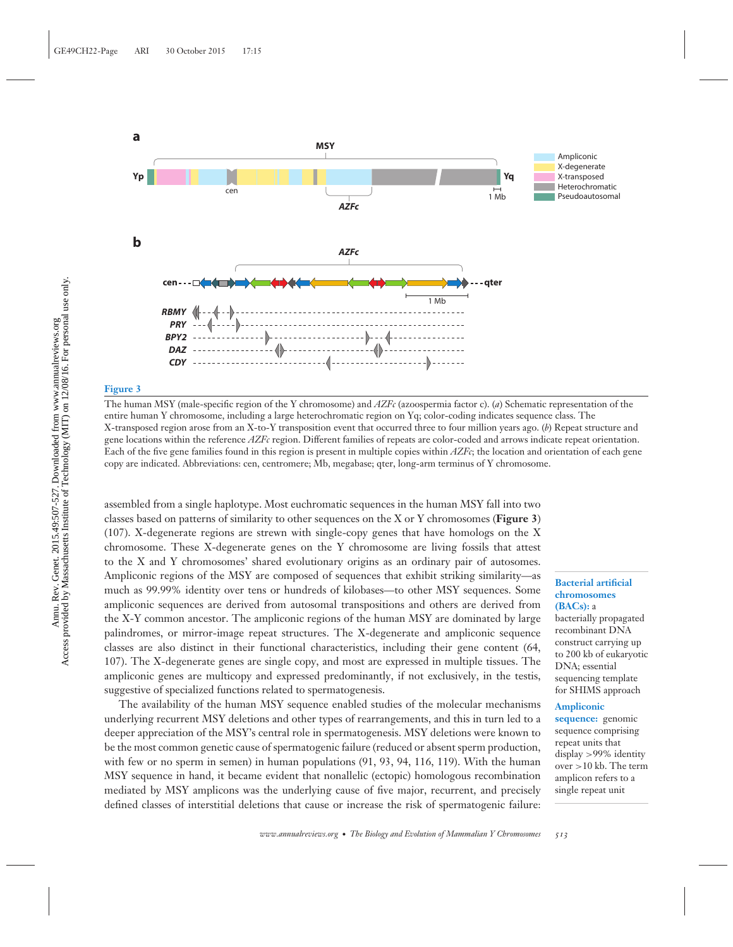

The human MSY (male-specific region of the Y chromosome) and *AZFc* (azoospermia factor c). (*a*) Schematic representation of the entire human Y chromosome, including a large heterochromatic region on Yq; color-coding indicates sequence class. The X-transposed region arose from an X-to-Y transposition event that occurred three to four million years ago. (*b*) Repeat structure and gene locations within the reference *AZFc* region. Different families of repeats are color-coded and arrows indicate repeat orientation. Each of the five gene families found in this region is present in multiple copies within *AZFc*; the location and orientation of each gene copy are indicated. Abbreviations: cen, centromere; Mb, megabase; qter, long-arm terminus of Y chromosome.

assembled from a single haplotype. Most euchromatic sequences in the human MSY fall into two classes based on patterns of similarity to other sequences on the X or Y chromosomes (**Figure 3**) (107). X-degenerate regions are strewn with single-copy genes that have homologs on the X chromosome. These X-degenerate genes on the Y chromosome are living fossils that attest to the X and Y chromosomes' shared evolutionary origins as an ordinary pair of autosomes. Ampliconic regions of the MSY are composed of sequences that exhibit striking similarity—as much as 99.99% identity over tens or hundreds of kilobases—to other MSY sequences. Some ampliconic sequences are derived from autosomal transpositions and others are derived from the X-Y common ancestor. The ampliconic regions of the human MSY are dominated by large palindromes, or mirror-image repeat structures. The X-degenerate and ampliconic sequence classes are also distinct in their functional characteristics, including their gene content (64, 107). The X-degenerate genes are single copy, and most are expressed in multiple tissues. The ampliconic genes are multicopy and expressed predominantly, if not exclusively, in the testis, suggestive of specialized functions related to spermatogenesis.

The availability of the human MSY sequence enabled studies of the molecular mechanisms underlying recurrent MSY deletions and other types of rearrangements, and this in turn led to a deeper appreciation of the MSY's central role in spermatogenesis. MSY deletions were known to be the most common genetic cause of spermatogenic failure (reduced or absent sperm production, with few or no sperm in semen) in human populations (91, 93, 94, 116, 119). With the human MSY sequence in hand, it became evident that nonallelic (ectopic) homologous recombination mediated by MSY amplicons was the underlying cause of five major, recurrent, and precisely defined classes of interstitial deletions that cause or increase the risk of spermatogenic failure:

#### **Bacterial artificial chromosomes (BACs):** a

bacterially propagated recombinant DNA construct carrying up to 200 kb of eukaryotic DNA; essential sequencing template for SHIMS approach

#### **Ampliconic**

**sequence:** genomic sequence comprising repeat units that display *>*99% identity over *>*10 kb. The term amplicon refers to a single repeat unit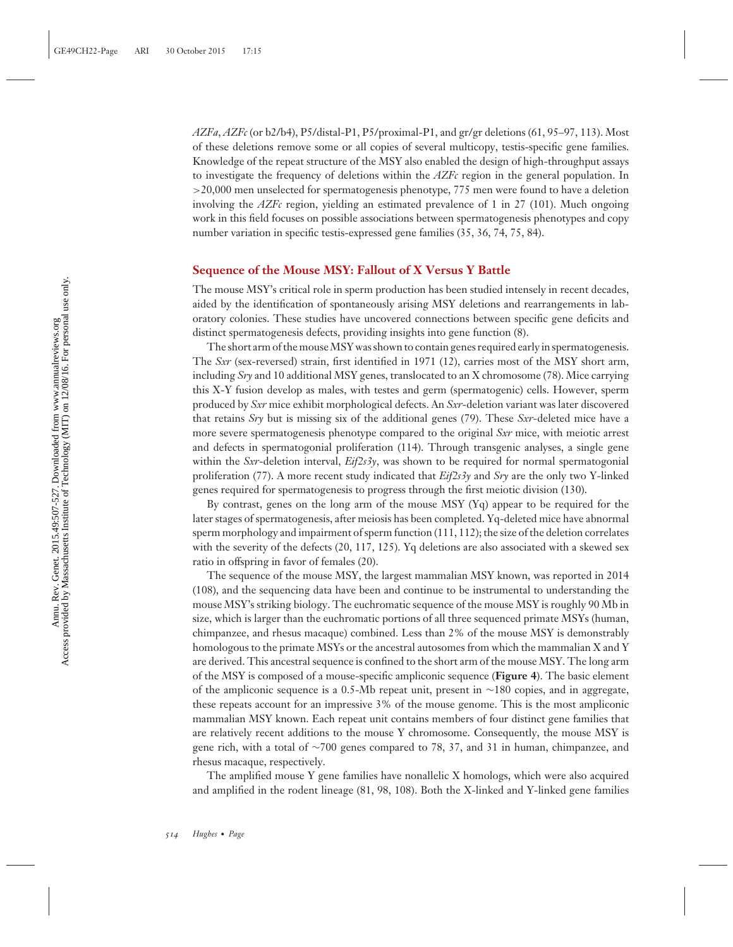*AZFa*, *AZFc* (or b2/b4), P5/distal-P1, P5/proximal-P1, and gr/gr deletions (61, 95–97, 113). Most of these deletions remove some or all copies of several multicopy, testis-specific gene families. Knowledge of the repeat structure of the MSY also enabled the design of high-throughput assays to investigate the frequency of deletions within the *AZFc* region in the general population. In *>*20,000 men unselected for spermatogenesis phenotype, 775 men were found to have a deletion involving the *AZFc* region, yielding an estimated prevalence of 1 in 27 (101). Much ongoing work in this field focuses on possible associations between spermatogenesis phenotypes and copy number variation in specific testis-expressed gene families (35, 36, 74, 75, 84).

#### **Sequence of the Mouse MSY: Fallout of X Versus Y Battle**

The mouse MSY's critical role in sperm production has been studied intensely in recent decades, aided by the identification of spontaneously arising MSY deletions and rearrangements in laboratory colonies. These studies have uncovered connections between specific gene deficits and distinct spermatogenesis defects, providing insights into gene function (8).

The short arm of the mouseMSY was shown to contain genes required early in spermatogenesis. The *Sxr* (sex-reversed) strain, first identified in 1971 (12), carries most of the MSY short arm, including *Sry* and 10 additional MSY genes, translocated to an X chromosome (78). Mice carrying this X-Y fusion develop as males, with testes and germ (spermatogenic) cells. However, sperm produced by *Sxr* mice exhibit morphological defects. An *Sxr*-deletion variant was later discovered that retains *Sry* but is missing six of the additional genes (79). These *Sxr-*deleted mice have a more severe spermatogenesis phenotype compared to the original *Sxr* mice, with meiotic arrest and defects in spermatogonial proliferation (114). Through transgenic analyses, a single gene within the *Sxr*-deletion interval, *Eif2s3y*, was shown to be required for normal spermatogonial proliferation (77). A more recent study indicated that *Eif2s3y* and *Sry* are the only two Y-linked genes required for spermatogenesis to progress through the first meiotic division (130).

By contrast, genes on the long arm of the mouse MSY (Yq) appear to be required for the later stages of spermatogenesis, after meiosis has been completed. Yq-deleted mice have abnormal sperm morphology and impairment of sperm function (111, 112); the size of the deletion correlates with the severity of the defects (20, 117, 125). Yq deletions are also associated with a skewed sex ratio in offspring in favor of females (20).

The sequence of the mouse MSY, the largest mammalian MSY known, was reported in 2014 (108), and the sequencing data have been and continue to be instrumental to understanding the mouse MSY's striking biology. The euchromatic sequence of the mouse MSY is roughly 90 Mb in size, which is larger than the euchromatic portions of all three sequenced primate MSYs (human, chimpanzee, and rhesus macaque) combined. Less than 2% of the mouse MSY is demonstrably homologous to the primate MSYs or the ancestral autosomes from which the mammalian X and Y are derived. This ancestral sequence is confined to the short arm of the mouse MSY. The long arm of the MSY is composed of a mouse-specific ampliconic sequence (**Figure 4**). The basic element of the ampliconic sequence is a 0.5-Mb repeat unit, present in ∼180 copies, and in aggregate, these repeats account for an impressive 3% of the mouse genome. This is the most ampliconic mammalian MSY known. Each repeat unit contains members of four distinct gene families that are relatively recent additions to the mouse Y chromosome. Consequently, the mouse MSY is gene rich, with a total of ∼700 genes compared to 78, 37, and 31 in human, chimpanzee, and rhesus macaque, respectively.

The amplified mouse Y gene families have nonallelic X homologs, which were also acquired and amplified in the rodent lineage (81, 98, 108). Both the X-linked and Y-linked gene families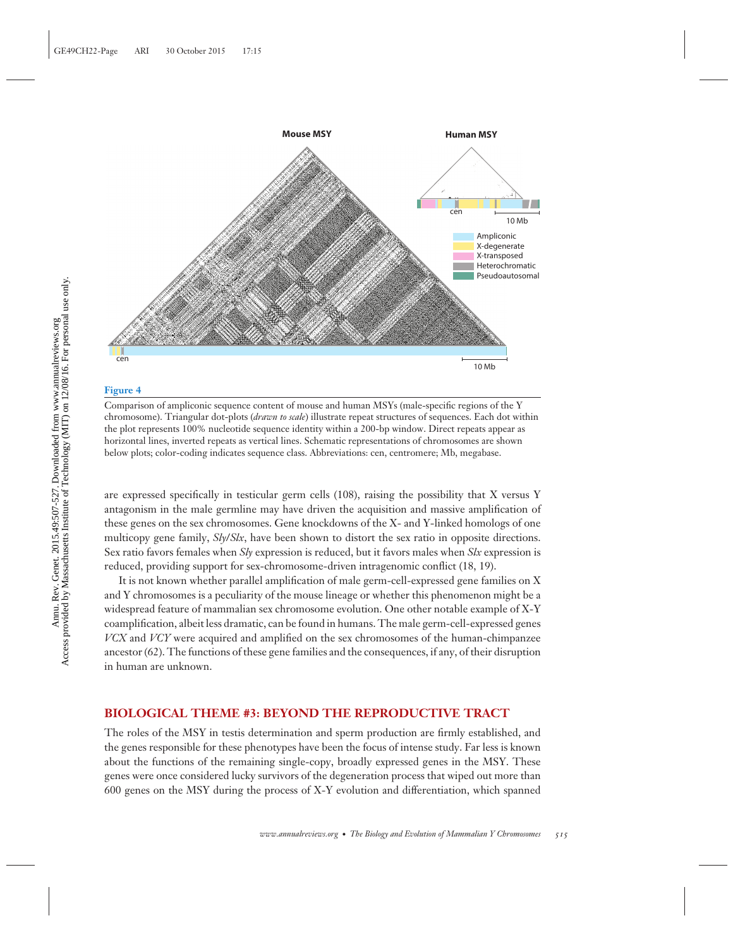

Comparison of ampliconic sequence content of mouse and human MSYs (male-specific regions of the Y chromosome). Triangular dot-plots (*drawn to scale*) illustrate repeat structures of sequences. Each dot within the plot represents 100% nucleotide sequence identity within a 200-bp window. Direct repeats appear as horizontal lines, inverted repeats as vertical lines. Schematic representations of chromosomes are shown below plots; color-coding indicates sequence class. Abbreviations: cen, centromere; Mb, megabase.

are expressed specifically in testicular germ cells (108), raising the possibility that X versus Y antagonism in the male germline may have driven the acquisition and massive amplification of these genes on the sex chromosomes. Gene knockdowns of the X- and Y-linked homologs of one multicopy gene family, *Sly/Slx*, have been shown to distort the sex ratio in opposite directions. Sex ratio favors females when *Sly* expression is reduced, but it favors males when *Slx* expression is reduced, providing support for sex-chromosome-driven intragenomic conflict (18, 19).

It is not known whether parallel amplification of male germ-cell-expressed gene families on X and Y chromosomes is a peculiarity of the mouse lineage or whether this phenomenon might be a widespread feature of mammalian sex chromosome evolution. One other notable example of X-Y coamplification, albeit less dramatic, can be found in humans. The male germ-cell-expressed genes *VCX* and *VCY* were acquired and amplified on the sex chromosomes of the human-chimpanzee ancestor (62). The functions of these gene families and the consequences, if any, of their disruption in human are unknown.

## **BIOLOGICAL THEME #3: BEYOND THE REPRODUCTIVE TRACT**

The roles of the MSY in testis determination and sperm production are firmly established, and the genes responsible for these phenotypes have been the focus of intense study. Far less is known about the functions of the remaining single-copy, broadly expressed genes in the MSY. These genes were once considered lucky survivors of the degeneration process that wiped out more than 600 genes on the MSY during the process of X-Y evolution and differentiation, which spanned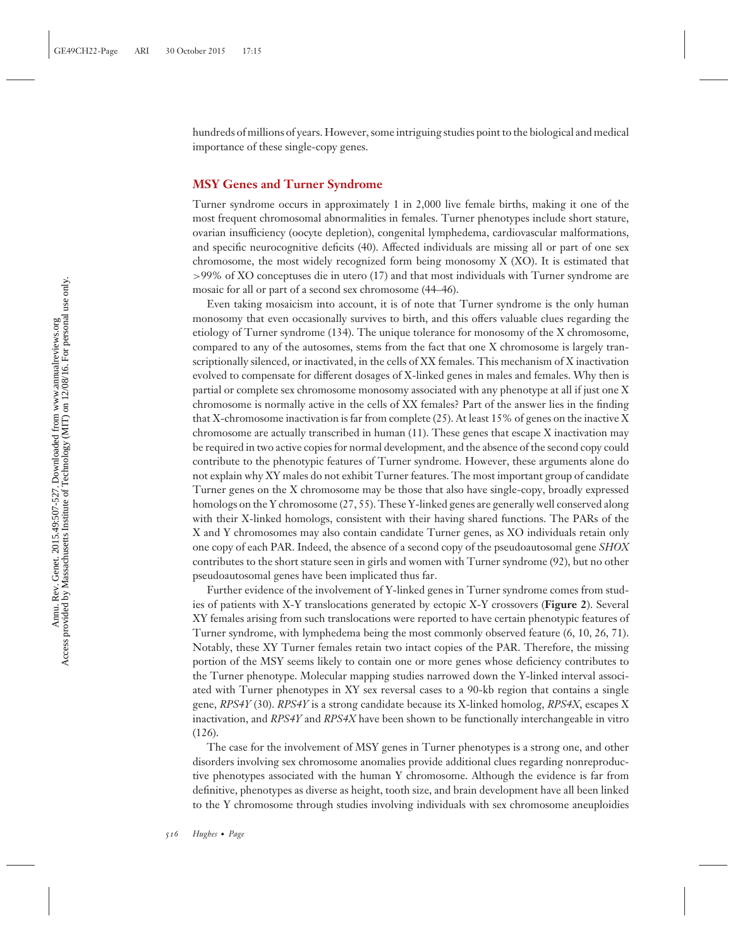hundreds of millions of years. However, some intriguing studies point to the biological and medical importance of these single-copy genes.

#### **MSY Genes and Turner Syndrome**

Turner syndrome occurs in approximately 1 in 2,000 live female births, making it one of the most frequent chromosomal abnormalities in females. Turner phenotypes include short stature, ovarian insufficiency (oocyte depletion), congenital lymphedema, cardiovascular malformations, and specific neurocognitive deficits (40). Affected individuals are missing all or part of one sex chromosome, the most widely recognized form being monosomy X (XO). It is estimated that *>*99% of XO conceptuses die in utero (17) and that most individuals with Turner syndrome are mosaic for all or part of a second sex chromosome (44–46).

Even taking mosaicism into account, it is of note that Turner syndrome is the only human monosomy that even occasionally survives to birth, and this offers valuable clues regarding the etiology of Turner syndrome (134). The unique tolerance for monosomy of the X chromosome, compared to any of the autosomes, stems from the fact that one X chromosome is largely transcriptionally silenced, or inactivated, in the cells of XX females. This mechanism of X inactivation evolved to compensate for different dosages of X-linked genes in males and females. Why then is partial or complete sex chromosome monosomy associated with any phenotype at all if just one X chromosome is normally active in the cells of XX females? Part of the answer lies in the finding that X-chromosome inactivation is far from complete (25). At least 15% of genes on the inactive X chromosome are actually transcribed in human (11). These genes that escape X inactivation may be required in two active copies for normal development, and the absence of the second copy could contribute to the phenotypic features of Turner syndrome. However, these arguments alone do not explain why XY males do not exhibit Turner features. The most important group of candidate Turner genes on the X chromosome may be those that also have single-copy, broadly expressed homologs on the Y chromosome (27, 55). These Y-linked genes are generally well conserved along with their X-linked homologs, consistent with their having shared functions. The PARs of the X and Y chromosomes may also contain candidate Turner genes, as XO individuals retain only one copy of each PAR. Indeed, the absence of a second copy of the pseudoautosomal gene *SHOX* contributes to the short stature seen in girls and women with Turner syndrome (92), but no other pseudoautosomal genes have been implicated thus far.

Further evidence of the involvement of Y-linked genes in Turner syndrome comes from studies of patients with X-Y translocations generated by ectopic X-Y crossovers (**Figure 2**). Several XY females arising from such translocations were reported to have certain phenotypic features of Turner syndrome, with lymphedema being the most commonly observed feature (6, 10, 26, 71). Notably, these XY Turner females retain two intact copies of the PAR. Therefore, the missing portion of the MSY seems likely to contain one or more genes whose deficiency contributes to the Turner phenotype. Molecular mapping studies narrowed down the Y-linked interval associated with Turner phenotypes in XY sex reversal cases to a 90-kb region that contains a single gene, *RPS4Y* (30). *RPS4Y* is a strong candidate because its X-linked homolog, *RPS4X*, escapes X inactivation, and *RPS4Y* and *RPS4X* have been shown to be functionally interchangeable in vitro (126).

The case for the involvement of MSY genes in Turner phenotypes is a strong one, and other disorders involving sex chromosome anomalies provide additional clues regarding nonreproductive phenotypes associated with the human Y chromosome. Although the evidence is far from definitive, phenotypes as diverse as height, tooth size, and brain development have all been linked to the Y chromosome through studies involving individuals with sex chromosome aneuploidies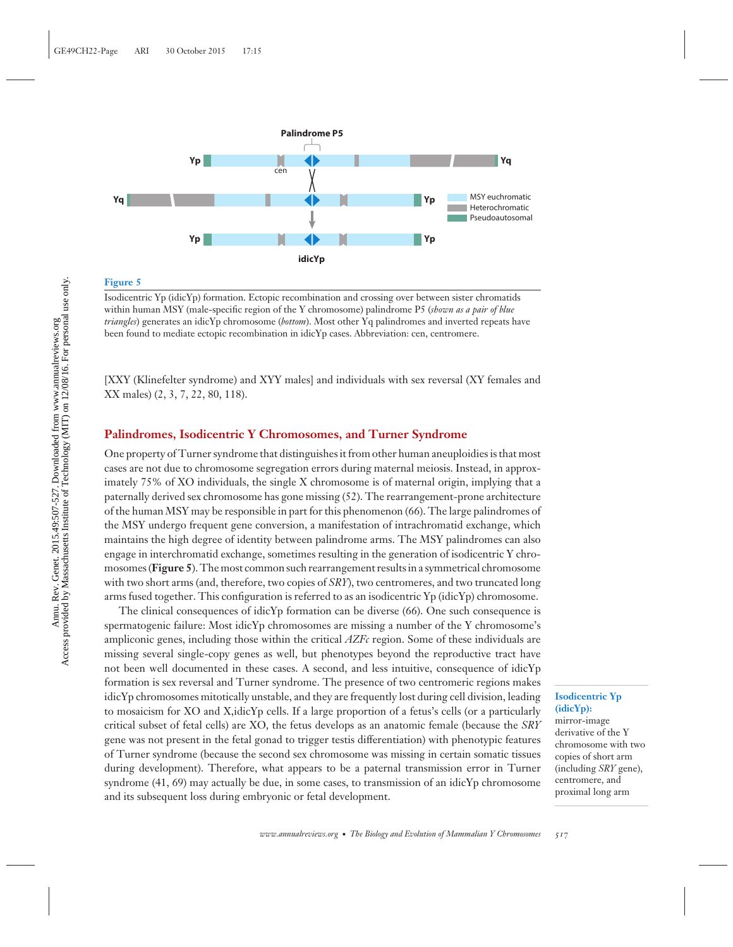

Isodicentric Yp (idicYp) formation. Ectopic recombination and crossing over between sister chromatids within human MSY (male-specific region of the Y chromosome) palindrome P5 (*shown as a pair of blue triangles*) generates an idicYp chromosome (*bottom*). Most other Yq palindromes and inverted repeats have been found to mediate ectopic recombination in idicYp cases. Abbreviation: cen, centromere.

[XXY (Klinefelter syndrome) and XYY males] and individuals with sex reversal (XY females and XX males) (2, 3, 7, 22, 80, 118).

## **Palindromes, Isodicentric Y Chromosomes, and Turner Syndrome**

One property of Turner syndrome that distinguishes it from other human aneuploidies is that most cases are not due to chromosome segregation errors during maternal meiosis. Instead, in approximately 75% of XO individuals, the single X chromosome is of maternal origin, implying that a paternally derived sex chromosome has gone missing (52). The rearrangement-prone architecture of the human MSY may be responsible in part for this phenomenon (66). The large palindromes of the MSY undergo frequent gene conversion, a manifestation of intrachromatid exchange, which maintains the high degree of identity between palindrome arms. The MSY palindromes can also engage in interchromatid exchange, sometimes resulting in the generation of isodicentric Y chromosomes (**Figure 5**). The most common such rearrangement results in a symmetrical chromosome with two short arms (and, therefore, two copies of *SRY*), two centromeres, and two truncated long arms fused together. This configuration is referred to as an isodicentric Yp (idicYp) chromosome.

The clinical consequences of idicYp formation can be diverse  $(66)$ . One such consequence is spermatogenic failure: Most idicYp chromosomes are missing a number of the Y chromosome's ampliconic genes, including those within the critical *AZFc* region. Some of these individuals are missing several single-copy genes as well, but phenotypes beyond the reproductive tract have not been well documented in these cases. A second, and less intuitive, consequence of idicYp formation is sex reversal and Turner syndrome. The presence of two centromeric regions makes idicYp chromosomes mitotically unstable, and they are frequently lost during cell division, leading to mosaicism for XO and X,idicYp cells. If a large proportion of a fetus's cells (or a particularly critical subset of fetal cells) are XO, the fetus develops as an anatomic female (because the *SRY* gene was not present in the fetal gonad to trigger testis differentiation) with phenotypic features of Turner syndrome (because the second sex chromosome was missing in certain somatic tissues during development). Therefore, what appears to be a paternal transmission error in Turner syndrome  $(41, 69)$  may actually be due, in some cases, to transmission of an idicYp chromosome and its subsequent loss during embryonic or fetal development.

#### **Isodicentric Yp (idicYp):**

mirror-image derivative of the Y chromosome with two copies of short arm (including *SRY* gene), centromere, and proximal long arm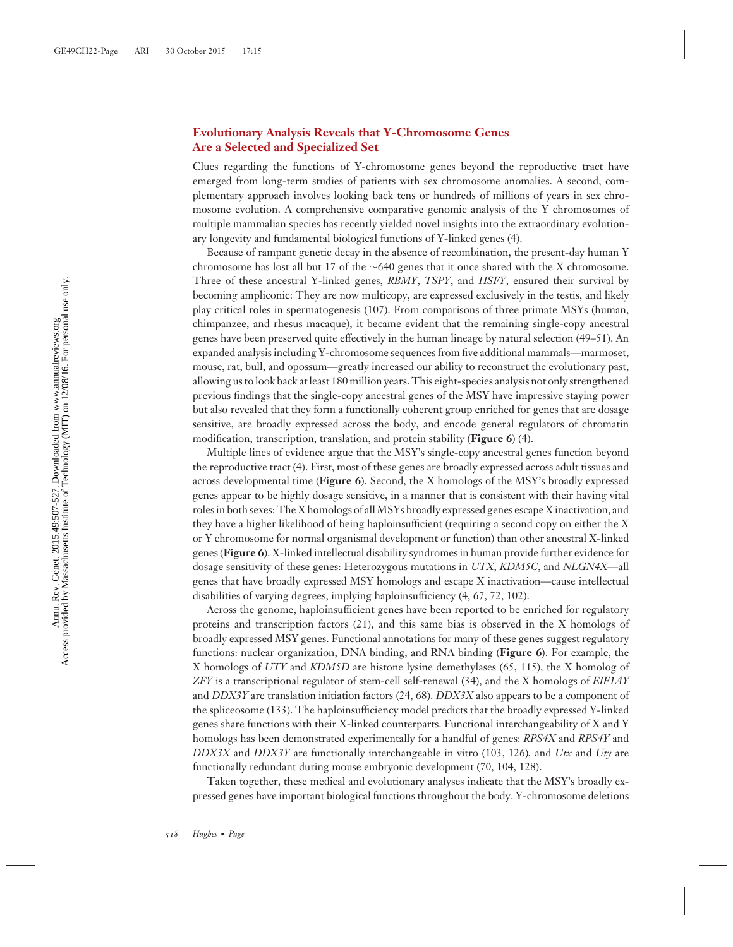## **Evolutionary Analysis Reveals that Y-Chromosome Genes Are a Selected and Specialized Set**

Clues regarding the functions of Y-chromosome genes beyond the reproductive tract have emerged from long-term studies of patients with sex chromosome anomalies. A second, complementary approach involves looking back tens or hundreds of millions of years in sex chromosome evolution. A comprehensive comparative genomic analysis of the Y chromosomes of multiple mammalian species has recently yielded novel insights into the extraordinary evolutionary longevity and fundamental biological functions of Y-linked genes (4).

Because of rampant genetic decay in the absence of recombination, the present-day human Y chromosome has lost all but 17 of the ∼640 genes that it once shared with the X chromosome. Three of these ancestral Y-linked genes, *RBMY*, *TSPY*, and *HSFY*, ensured their survival by becoming ampliconic: They are now multicopy, are expressed exclusively in the testis, and likely play critical roles in spermatogenesis (107). From comparisons of three primate MSYs (human, chimpanzee, and rhesus macaque), it became evident that the remaining single-copy ancestral genes have been preserved quite effectively in the human lineage by natural selection (49–51). An expanded analysis including Y-chromosome sequences from five additional mammals—marmoset, mouse, rat, bull, and opossum—greatly increased our ability to reconstruct the evolutionary past, allowing us to look back at least 180 million years. This eight-species analysis not only strengthened previous findings that the single-copy ancestral genes of the MSY have impressive staying power but also revealed that they form a functionally coherent group enriched for genes that are dosage sensitive, are broadly expressed across the body, and encode general regulators of chromatin modification, transcription, translation, and protein stability (**Figure 6**) (4).

Multiple lines of evidence argue that the MSY's single-copy ancestral genes function beyond the reproductive tract (4). First, most of these genes are broadly expressed across adult tissues and across developmental time (**Figure 6**). Second, the X homologs of the MSY's broadly expressed genes appear to be highly dosage sensitive, in a manner that is consistent with their having vital roles in both sexes: The X homologs of all MSYs broadly expressed genes escape X inactivation, and they have a higher likelihood of being haploinsufficient (requiring a second copy on either the X or Y chromosome for normal organismal development or function) than other ancestral X-linked genes (**Figure 6**). X-linked intellectual disability syndromes in human provide further evidence for dosage sensitivity of these genes: Heterozygous mutations in *UTX*, *KDM5C*, and *NLGN4X*—all genes that have broadly expressed MSY homologs and escape X inactivation—cause intellectual disabilities of varying degrees, implying haploinsufficiency (4, 67, 72, 102).

Across the genome, haploinsufficient genes have been reported to be enriched for regulatory proteins and transcription factors (21), and this same bias is observed in the X homologs of broadly expressed MSY genes. Functional annotations for many of these genes suggest regulatory functions: nuclear organization, DNA binding, and RNA binding (**Figure 6**). For example, the X homologs of *UTY* and *KDM5D* are histone lysine demethylases (65, 115), the X homolog of *ZFY* is a transcriptional regulator of stem-cell self-renewal (34), and the X homologs of *EIF1AY* and *DDX3Y* are translation initiation factors (24, 68). *DDX3X* also appears to be a component of the spliceosome (133). The haploinsufficiency model predicts that the broadly expressed Y-linked genes share functions with their X-linked counterparts. Functional interchangeability of X and Y homologs has been demonstrated experimentally for a handful of genes: *RPS4X* and *RPS4Y* and *DDX3X* and *DDX3Y* are functionally interchangeable in vitro (103, 126)*,* and *Utx* and *Uty* are functionally redundant during mouse embryonic development (70, 104, 128).

Taken together, these medical and evolutionary analyses indicate that the MSY's broadly expressed genes have important biological functions throughout the body. Y-chromosome deletions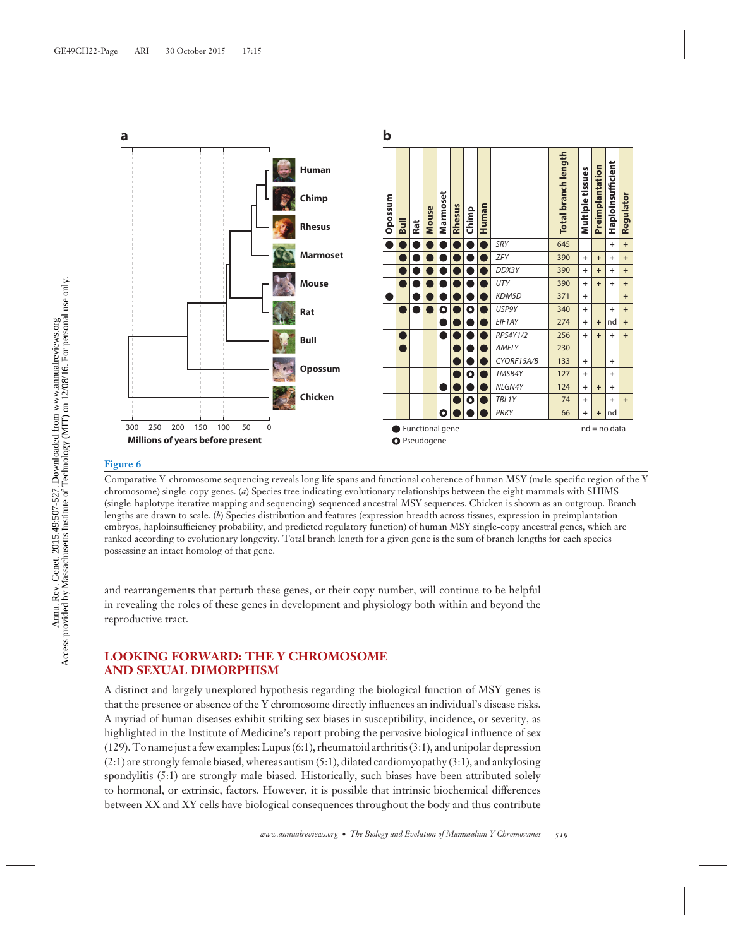

Comparative Y-chromosome sequencing reveals long life spans and functional coherence of human MSY (male-specific region of the Y chromosome) single-copy genes. (*a*) Species tree indicating evolutionary relationships between the eight mammals with SHIMS (single-haplotype iterative mapping and sequencing)-sequenced ancestral MSY sequences. Chicken is shown as an outgroup. Branch lengths are drawn to scale. (*b*) Species distribution and features (expression breadth across tissues, expression in preimplantation embryos, haploinsufficiency probability, and predicted regulatory function) of human MSY single-copy ancestral genes, which are ranked according to evolutionary longevity. Total branch length for a given gene is the sum of branch lengths for each species possessing an intact homolog of that gene.

and rearrangements that perturb these genes, or their copy number, will continue to be helpful in revealing the roles of these genes in development and physiology both within and beyond the reproductive tract.

## **LOOKING FORWARD: THE Y CHROMOSOME AND SEXUAL DIMORPHISM**

A distinct and largely unexplored hypothesis regarding the biological function of MSY genes is that the presence or absence of the Y chromosome directly influences an individual's disease risks. A myriad of human diseases exhibit striking sex biases in susceptibility, incidence, or severity, as highlighted in the Institute of Medicine's report probing the pervasive biological influence of sex (129). To name just a few examples: Lupus (6:1), rheumatoid arthritis (3:1), and unipolar depression (2:1) are strongly female biased, whereas autism (5:1), dilated cardiomyopathy (3:1), and ankylosing spondylitis (5:1) are strongly male biased. Historically, such biases have been attributed solely to hormonal, or extrinsic, factors. However, it is possible that intrinsic biochemical differences between XX and XY cells have biological consequences throughout the body and thus contribute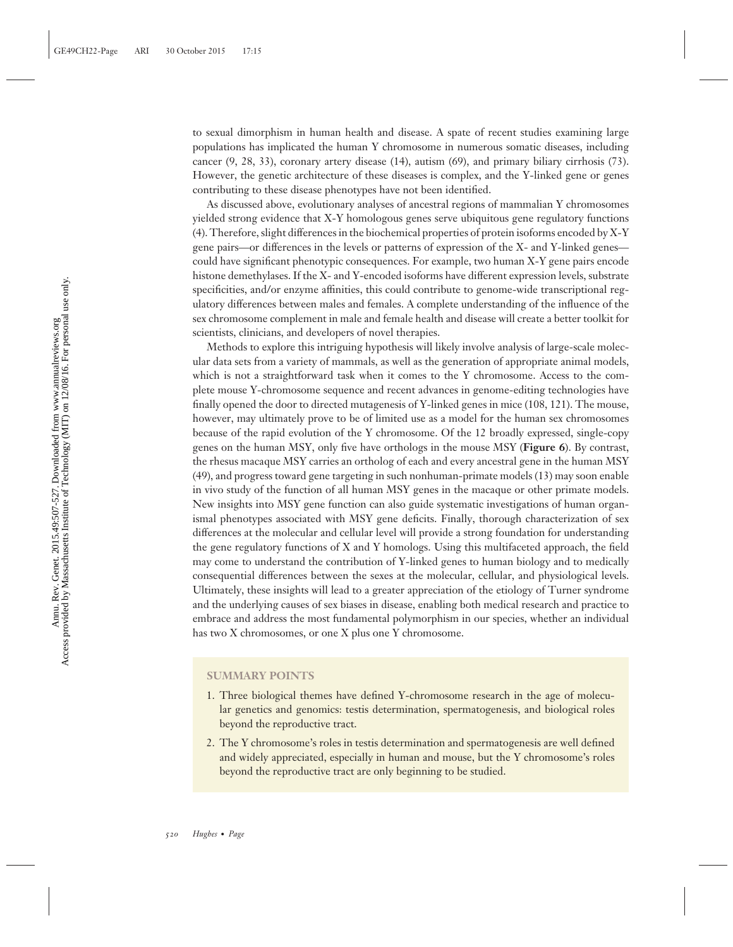to sexual dimorphism in human health and disease. A spate of recent studies examining large populations has implicated the human Y chromosome in numerous somatic diseases, including cancer (9, 28, 33), coronary artery disease (14), autism (69), and primary biliary cirrhosis (73). However, the genetic architecture of these diseases is complex, and the Y-linked gene or genes contributing to these disease phenotypes have not been identified.

As discussed above, evolutionary analyses of ancestral regions of mammalian Y chromosomes yielded strong evidence that X-Y homologous genes serve ubiquitous gene regulatory functions (4). Therefore, slight differences in the biochemical properties of protein isoforms encoded by X-Y gene pairs—or differences in the levels or patterns of expression of the X- and Y-linked genes could have significant phenotypic consequences. For example, two human X-Y gene pairs encode histone demethylases. If the X- and Y-encoded isoforms have different expression levels, substrate specificities, and/or enzyme affinities, this could contribute to genome-wide transcriptional regulatory differences between males and females. A complete understanding of the influence of the sex chromosome complement in male and female health and disease will create a better toolkit for scientists, clinicians, and developers of novel therapies.

Methods to explore this intriguing hypothesis will likely involve analysis of large-scale molecular data sets from a variety of mammals, as well as the generation of appropriate animal models, which is not a straightforward task when it comes to the Y chromosome. Access to the complete mouse Y-chromosome sequence and recent advances in genome-editing technologies have finally opened the door to directed mutagenesis of Y-linked genes in mice (108, 121). The mouse, however, may ultimately prove to be of limited use as a model for the human sex chromosomes because of the rapid evolution of the Y chromosome. Of the 12 broadly expressed, single-copy genes on the human MSY, only five have orthologs in the mouse MSY (**Figure 6**). By contrast, the rhesus macaque MSY carries an ortholog of each and every ancestral gene in the human MSY (49), and progress toward gene targeting in such nonhuman-primate models (13) may soon enable in vivo study of the function of all human MSY genes in the macaque or other primate models. New insights into MSY gene function can also guide systematic investigations of human organismal phenotypes associated with MSY gene deficits. Finally, thorough characterization of sex differences at the molecular and cellular level will provide a strong foundation for understanding the gene regulatory functions of X and Y homologs. Using this multifaceted approach, the field may come to understand the contribution of Y-linked genes to human biology and to medically consequential differences between the sexes at the molecular, cellular, and physiological levels. Ultimately, these insights will lead to a greater appreciation of the etiology of Turner syndrome and the underlying causes of sex biases in disease, enabling both medical research and practice to embrace and address the most fundamental polymorphism in our species, whether an individual has two X chromosomes, or one X plus one Y chromosome.

#### **SUMMARY POINTS**

- 1. Three biological themes have defined Y-chromosome research in the age of molecular genetics and genomics: testis determination, spermatogenesis, and biological roles beyond the reproductive tract.
- 2. The Y chromosome's roles in testis determination and spermatogenesis are well defined and widely appreciated, especially in human and mouse, but the Y chromosome's roles beyond the reproductive tract are only beginning to be studied.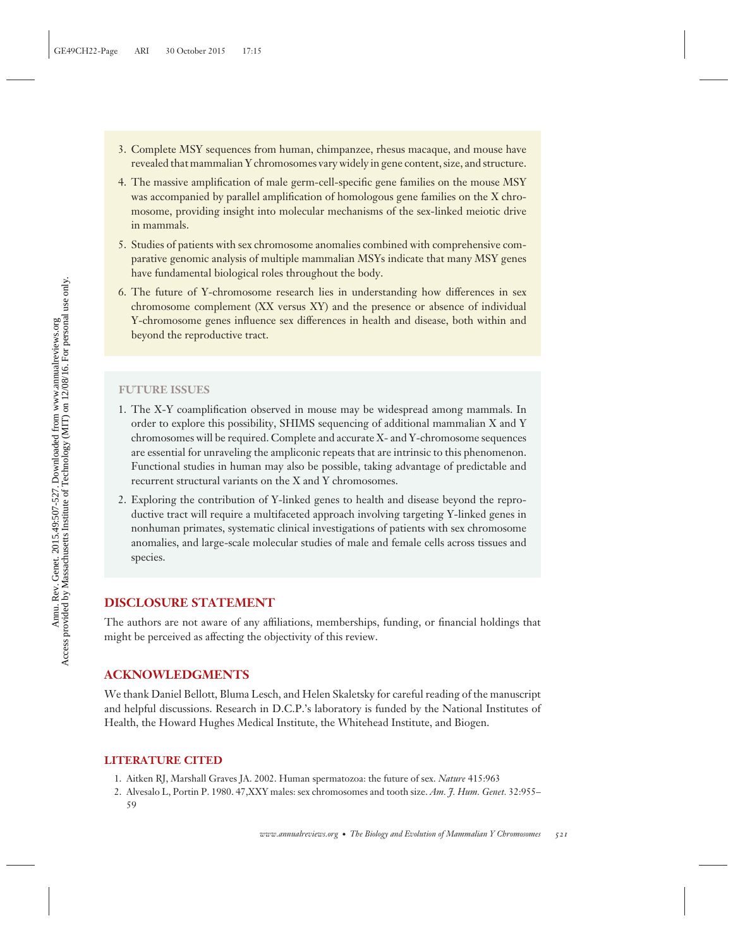- 3. Complete MSY sequences from human, chimpanzee, rhesus macaque, and mouse have revealed that mammalian Y chromosomes vary widely in gene content, size, and structure.
- 4. The massive amplification of male germ-cell-specific gene families on the mouse MSY was accompanied by parallel amplification of homologous gene families on the X chromosome, providing insight into molecular mechanisms of the sex-linked meiotic drive in mammals.
- 5. Studies of patients with sex chromosome anomalies combined with comprehensive comparative genomic analysis of multiple mammalian MSYs indicate that many MSY genes have fundamental biological roles throughout the body.
- 6. The future of Y-chromosome research lies in understanding how differences in sex chromosome complement (XX versus XY) and the presence or absence of individual Y-chromosome genes influence sex differences in health and disease, both within and beyond the reproductive tract.

## **FUTURE ISSUES**

- 1. The X-Y coamplification observed in mouse may be widespread among mammals. In order to explore this possibility, SHIMS sequencing of additional mammalian X and Y chromosomes will be required. Complete and accurate X- and Y-chromosome sequences are essential for unraveling the ampliconic repeats that are intrinsic to this phenomenon. Functional studies in human may also be possible, taking advantage of predictable and recurrent structural variants on the X and Y chromosomes.
- 2. Exploring the contribution of Y-linked genes to health and disease beyond the reproductive tract will require a multifaceted approach involving targeting Y-linked genes in nonhuman primates, systematic clinical investigations of patients with sex chromosome anomalies, and large-scale molecular studies of male and female cells across tissues and species.

## **DISCLOSURE STATEMENT**

The authors are not aware of any affiliations, memberships, funding, or financial holdings that might be perceived as affecting the objectivity of this review.

## **ACKNOWLEDGMENTS**

We thank Daniel Bellott, Bluma Lesch, and Helen Skaletsky for careful reading of the manuscript and helpful discussions. Research in D.C.P.'s laboratory is funded by the National Institutes of Health, the Howard Hughes Medical Institute, the Whitehead Institute, and Biogen.

## **LITERATURE CITED**

- 1. Aitken RJ, Marshall Graves JA. 2002. Human spermatozoa: the future of sex. *Nature* 415:963
- 2. Alvesalo L, Portin P. 1980. 47,XXY males: sex chromosomes and tooth size. *Am. J. Hum. Genet.* 32:955– 59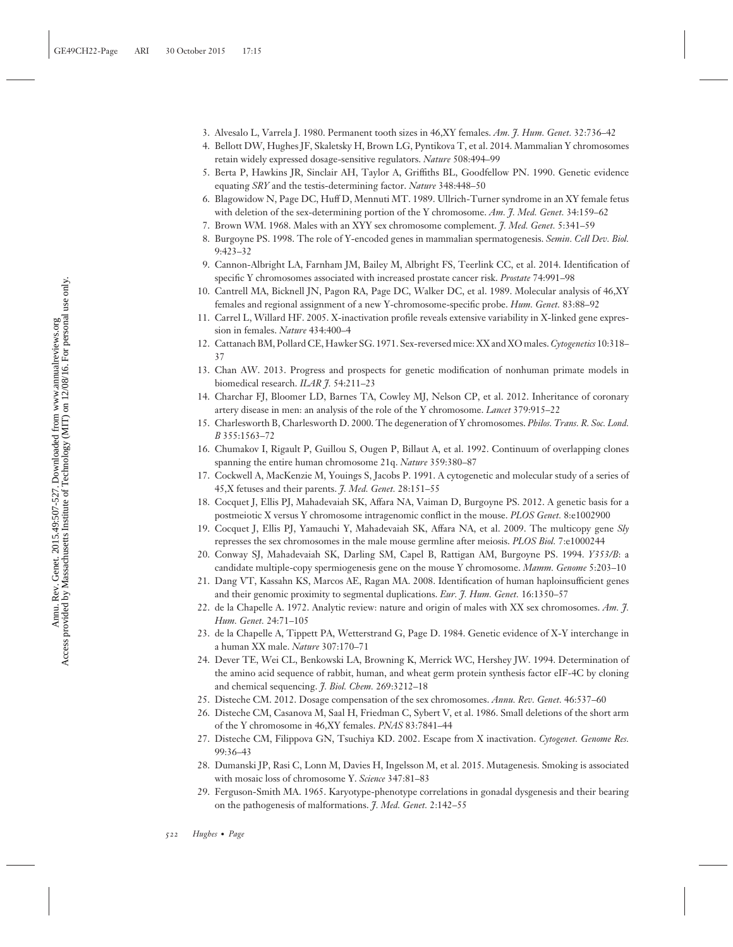- 3. Alvesalo L, Varrela J. 1980. Permanent tooth sizes in 46,XY females. *Am. J. Hum. Genet.* 32:736–42
- 4. Bellott DW, Hughes JF, Skaletsky H, Brown LG, Pyntikova T, et al. 2014. Mammalian Y chromosomes retain widely expressed dosage-sensitive regulators. *Nature* 508:494–99
- 5. Berta P, Hawkins JR, Sinclair AH, Taylor A, Griffiths BL, Goodfellow PN. 1990. Genetic evidence equating *SRY* and the testis-determining factor. *Nature* 348:448–50
- 6. Blagowidow N, Page DC, Huff D, Mennuti MT. 1989. Ullrich-Turner syndrome in an XY female fetus with deletion of the sex-determining portion of the Y chromosome. *Am. J. Med. Genet.* 34:159–62
- 7. Brown WM. 1968. Males with an XYY sex chromosome complement. *J. Med. Genet.* 5:341–59
- 8. Burgoyne PS. 1998. The role of Y-encoded genes in mammalian spermatogenesis. *Semin. Cell Dev. Biol.* 9:423–32
- 9. Cannon-Albright LA, Farnham JM, Bailey M, Albright FS, Teerlink CC, et al. 2014. Identification of specific Y chromosomes associated with increased prostate cancer risk. *Prostate* 74:991–98
- 10. Cantrell MA, Bicknell JN, Pagon RA, Page DC, Walker DC, et al. 1989. Molecular analysis of 46,XY females and regional assignment of a new Y-chromosome-specific probe. *Hum. Genet.* 83:88–92
- 11. Carrel L, Willard HF. 2005. X-inactivation profile reveals extensive variability in X-linked gene expression in females. *Nature* 434:400–4
- 12. Cattanach BM, Pollard CE, Hawker SG. 1971. Sex-reversed mice: XX and XO males.*Cytogenetics* 10:318– 37
- 13. Chan AW. 2013. Progress and prospects for genetic modification of nonhuman primate models in biomedical research. *ILAR J.* 54:211–23
- 14. Charchar FJ, Bloomer LD, Barnes TA, Cowley MJ, Nelson CP, et al. 2012. Inheritance of coronary artery disease in men: an analysis of the role of the Y chromosome. *Lancet* 379:915–22
- 15. Charlesworth B, Charlesworth D. 2000. The degeneration of Y chromosomes. *Philos. Trans. R. Soc. Lond. B* 355:1563–72
- 16. Chumakov I, Rigault P, Guillou S, Ougen P, Billaut A, et al. 1992. Continuum of overlapping clones spanning the entire human chromosome 21q. *Nature* 359:380–87
- 17. Cockwell A, MacKenzie M, Youings S, Jacobs P. 1991. A cytogenetic and molecular study of a series of 45,X fetuses and their parents. *J. Med. Genet.* 28:151–55
- 18. Cocquet J, Ellis PJ, Mahadevaiah SK, Affara NA, Vaiman D, Burgoyne PS. 2012. A genetic basis for a postmeiotic X versus Y chromosome intragenomic conflict in the mouse. *PLOS Genet.* 8:e1002900
- 19. Cocquet J, Ellis PJ, Yamauchi Y, Mahadevaiah SK, Affara NA, et al. 2009. The multicopy gene *Sly* represses the sex chromosomes in the male mouse germline after meiosis. *PLOS Biol.* 7:e1000244
- 20. Conway SJ, Mahadevaiah SK, Darling SM, Capel B, Rattigan AM, Burgoyne PS. 1994. *Y353/B*: a candidate multiple-copy spermiogenesis gene on the mouse Y chromosome. *Mamm. Genome* 5:203–10
- 21. Dang VT, Kassahn KS, Marcos AE, Ragan MA. 2008. Identification of human haploinsufficient genes and their genomic proximity to segmental duplications. *Eur. J. Hum. Genet.* 16:1350–57
- 22. de la Chapelle A. 1972. Analytic review: nature and origin of males with XX sex chromosomes. *Am. J. Hum. Genet.* 24:71–105
- 23. de la Chapelle A, Tippett PA, Wetterstrand G, Page D. 1984. Genetic evidence of X-Y interchange in a human XX male. *Nature* 307:170–71
- 24. Dever TE, Wei CL, Benkowski LA, Browning K, Merrick WC, Hershey JW. 1994. Determination of the amino acid sequence of rabbit, human, and wheat germ protein synthesis factor eIF-4C by cloning and chemical sequencing. *J. Biol. Chem.* 269:3212–18
- 25. Disteche CM. 2012. Dosage compensation of the sex chromosomes. *Annu. Rev. Genet.* 46:537–60
- 26. Disteche CM, Casanova M, Saal H, Friedman C, Sybert V, et al. 1986. Small deletions of the short arm of the Y chromosome in 46,XY females. *PNAS* 83:7841–44
- 27. Disteche CM, Filippova GN, Tsuchiya KD. 2002. Escape from X inactivation. *Cytogenet. Genome Res.* 99:36–43
- 28. Dumanski JP, Rasi C, Lonn M, Davies H, Ingelsson M, et al. 2015. Mutagenesis. Smoking is associated with mosaic loss of chromosome Y. *Science* 347:81–83
- 29. Ferguson-Smith MA. 1965. Karyotype-phenotype correlations in gonadal dysgenesis and their bearing on the pathogenesis of malformations. *J. Med. Genet.* 2:142–55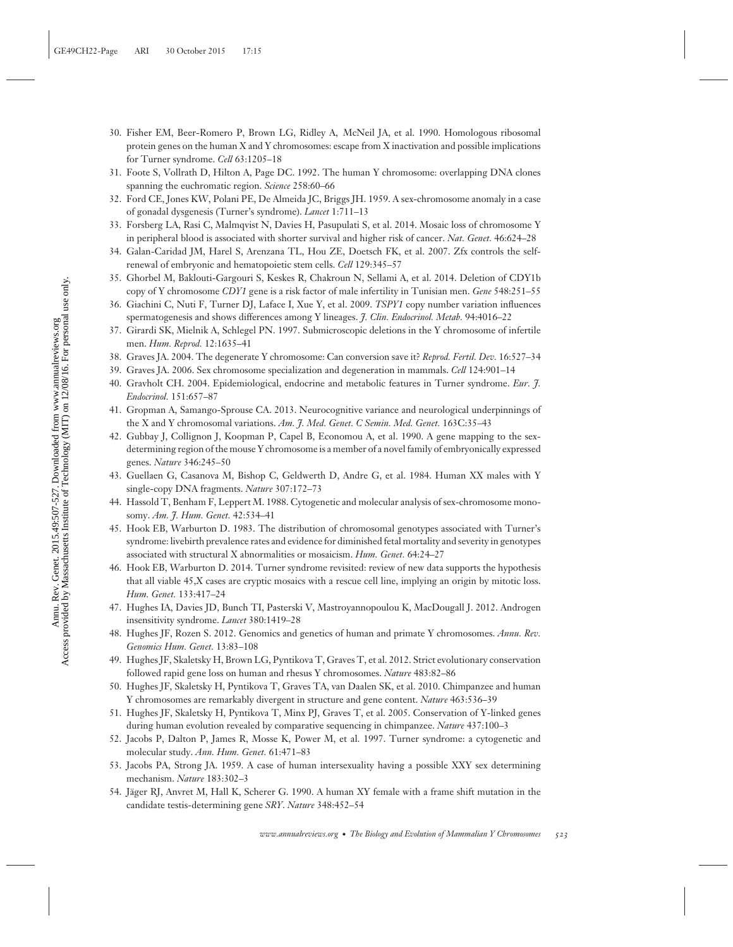- 30. Fisher EM, Beer-Romero P, Brown LG, Ridley A, McNeil JA, et al. 1990. Homologous ribosomal protein genes on the human X and Y chromosomes: escape from X inactivation and possible implications for Turner syndrome. *Cell* 63:1205–18
- 31. Foote S, Vollrath D, Hilton A, Page DC. 1992. The human Y chromosome: overlapping DNA clones spanning the euchromatic region. *Science* 258:60–66
- 32. Ford CE, Jones KW, Polani PE, De Almeida JC, Briggs JH. 1959. A sex-chromosome anomaly in a case of gonadal dysgenesis (Turner's syndrome). *Lancet* 1:711–13
- 33. Forsberg LA, Rasi C, Malmqvist N, Davies H, Pasupulati S, et al. 2014. Mosaic loss of chromosome Y in peripheral blood is associated with shorter survival and higher risk of cancer. *Nat. Genet.* 46:624–28
- 34. Galan-Caridad JM, Harel S, Arenzana TL, Hou ZE, Doetsch FK, et al. 2007. Zfx controls the selfrenewal of embryonic and hematopoietic stem cells. *Cell* 129:345–57
- 35. Ghorbel M, Baklouti-Gargouri S, Keskes R, Chakroun N, Sellami A, et al. 2014. Deletion of CDY1b copy of Y chromosome *CDY1* gene is a risk factor of male infertility in Tunisian men. *Gene* 548:251–55
- 36. Giachini C, Nuti F, Turner DJ, Laface I, Xue Y, et al. 2009. *TSPY1* copy number variation influences spermatogenesis and shows differences among Y lineages. *J. Clin. Endocrinol. Metab.* 94:4016–22
- 37. Girardi SK, Mielnik A, Schlegel PN. 1997. Submicroscopic deletions in the Y chromosome of infertile men. *Hum. Reprod.* 12:1635–41
- 38. Graves JA. 2004. The degenerate Y chromosome: Can conversion save it? *Reprod. Fertil. Dev.* 16:527–34
- 39. Graves JA. 2006. Sex chromosome specialization and degeneration in mammals. *Cell* 124:901–14
- 40. Gravholt CH. 2004. Epidemiological, endocrine and metabolic features in Turner syndrome. *Eur. J. Endocrinol.* 151:657–87
- 41. Gropman A, Samango-Sprouse CA. 2013. Neurocognitive variance and neurological underpinnings of the X and Y chromosomal variations. *Am. J. Med. Genet. C Semin. Med. Genet.* 163C:35–43
- 42. Gubbay J, Collignon J, Koopman P, Capel B, Economou A, et al. 1990. A gene mapping to the sexdetermining region of the mouse Y chromosome is a member of a novel family of embryonically expressed genes. *Nature* 346:245–50
- 43. Guellaen G, Casanova M, Bishop C, Geldwerth D, Andre G, et al. 1984. Human XX males with Y single-copy DNA fragments. *Nature* 307:172–73
- 44. Hassold T, Benham F, Leppert M. 1988. Cytogenetic and molecular analysis of sex-chromosome monosomy. *Am. J. Hum. Genet.* 42:534–41
- 45. Hook EB, Warburton D. 1983. The distribution of chromosomal genotypes associated with Turner's syndrome: livebirth prevalence rates and evidence for diminished fetal mortality and severity in genotypes associated with structural X abnormalities or mosaicism. *Hum. Genet.* 64:24–27
- 46. Hook EB, Warburton D. 2014. Turner syndrome revisited: review of new data supports the hypothesis that all viable 45,X cases are cryptic mosaics with a rescue cell line, implying an origin by mitotic loss. *Hum. Genet.* 133:417–24
- 47. Hughes IA, Davies JD, Bunch TI, Pasterski V, Mastroyannopoulou K, MacDougall J. 2012. Androgen insensitivity syndrome. *Lancet* 380:1419–28
- 48. Hughes JF, Rozen S. 2012. Genomics and genetics of human and primate Y chromosomes. *Annu. Rev. Genomics Hum. Genet.* 13:83–108
- 49. Hughes JF, Skaletsky H, Brown LG, Pyntikova T, Graves T, et al. 2012. Strict evolutionary conservation followed rapid gene loss on human and rhesus Y chromosomes. *Nature* 483:82–86
- 50. Hughes JF, Skaletsky H, Pyntikova T, Graves TA, van Daalen SK, et al. 2010. Chimpanzee and human Y chromosomes are remarkably divergent in structure and gene content. *Nature* 463:536–39
- 51. Hughes JF, Skaletsky H, Pyntikova T, Minx PJ, Graves T, et al. 2005. Conservation of Y-linked genes during human evolution revealed by comparative sequencing in chimpanzee. *Nature* 437:100–3
- 52. Jacobs P, Dalton P, James R, Mosse K, Power M, et al. 1997. Turner syndrome: a cytogenetic and molecular study. *Ann. Hum. Genet.* 61:471–83
- 53. Jacobs PA, Strong JA. 1959. A case of human intersexuality having a possible XXY sex determining mechanism. *Nature* 183:302–3
- 54. Jäger RJ, Anvret M, Hall K, Scherer G. 1990. A human XY female with a frame shift mutation in the candidate testis-determining gene *SRY*. *Nature* 348:452–54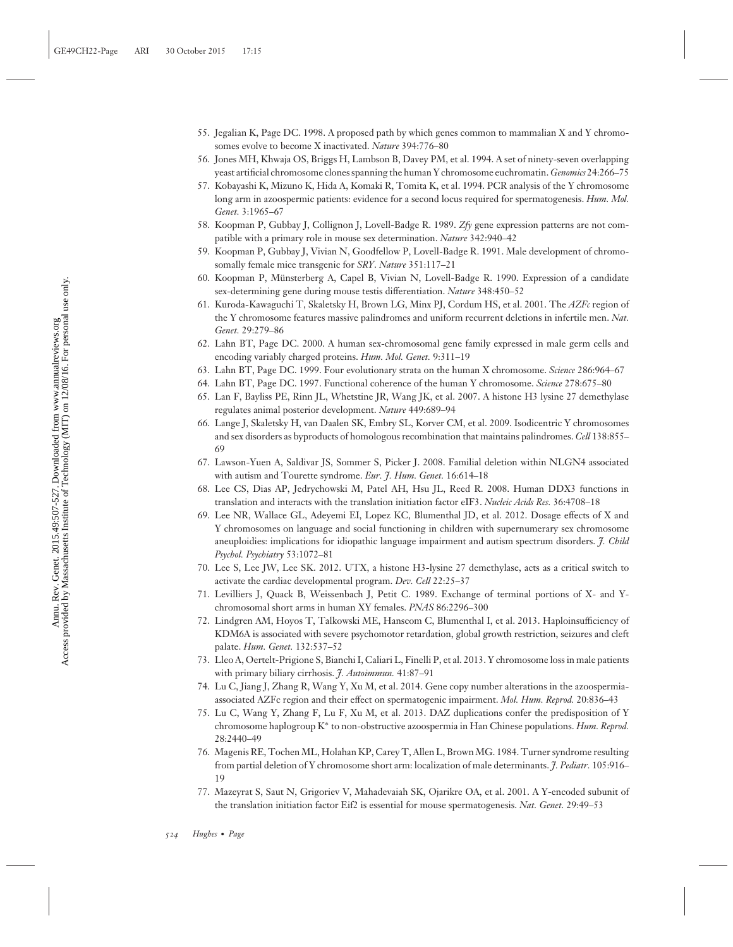- 55. Jegalian K, Page DC. 1998. A proposed path by which genes common to mammalian X and Y chromosomes evolve to become X inactivated. *Nature* 394:776–80
- 56. Jones MH, Khwaja OS, Briggs H, Lambson B, Davey PM, et al. 1994. A set of ninety-seven overlapping yeast artificial chromosome clones spanning the human Y chromosome euchromatin. *Genomics* 24:266–75
- 57. Kobayashi K, Mizuno K, Hida A, Komaki R, Tomita K, et al. 1994. PCR analysis of the Y chromosome long arm in azoospermic patients: evidence for a second locus required for spermatogenesis. *Hum. Mol. Genet.* 3:1965–67
- 58. Koopman P, Gubbay J, Collignon J, Lovell-Badge R. 1989. *Zfy* gene expression patterns are not compatible with a primary role in mouse sex determination. *Nature* 342:940–42
- 59. Koopman P, Gubbay J, Vivian N, Goodfellow P, Lovell-Badge R. 1991. Male development of chromosomally female mice transgenic for *SRY*. *Nature* 351:117–21
- 60. Koopman P, Munsterberg A, Capel B, Vivian N, Lovell-Badge R. 1990. Expression of a candidate ¨ sex-determining gene during mouse testis differentiation. *Nature* 348:450–52
- 61. Kuroda-Kawaguchi T, Skaletsky H, Brown LG, Minx PJ, Cordum HS, et al. 2001. The *AZFc* region of the Y chromosome features massive palindromes and uniform recurrent deletions in infertile men. *Nat. Genet.* 29:279–86
- 62. Lahn BT, Page DC. 2000. A human sex-chromosomal gene family expressed in male germ cells and encoding variably charged proteins. *Hum. Mol. Genet.* 9:311–19
- 63. Lahn BT, Page DC. 1999. Four evolutionary strata on the human X chromosome. *Science* 286:964–67
- 64. Lahn BT, Page DC. 1997. Functional coherence of the human Y chromosome. *Science* 278:675–80
- 65. Lan F, Bayliss PE, Rinn JL, Whetstine JR, Wang JK, et al. 2007. A histone H3 lysine 27 demethylase regulates animal posterior development. *Nature* 449:689–94
- 66. Lange J, Skaletsky H, van Daalen SK, Embry SL, Korver CM, et al. 2009. Isodicentric Y chromosomes and sex disorders as byproducts of homologous recombination that maintains palindromes. *Cell* 138:855– 69
- 67. Lawson-Yuen A, Saldivar JS, Sommer S, Picker J. 2008. Familial deletion within NLGN4 associated with autism and Tourette syndrome. *Eur. J. Hum. Genet.* 16:614–18
- 68. Lee CS, Dias AP, Jedrychowski M, Patel AH, Hsu JL, Reed R. 2008. Human DDX3 functions in translation and interacts with the translation initiation factor eIF3. *Nucleic Acids Res.* 36:4708–18
- 69. Lee NR, Wallace GL, Adeyemi EI, Lopez KC, Blumenthal JD, et al. 2012. Dosage effects of X and Y chromosomes on language and social functioning in children with supernumerary sex chromosome aneuploidies: implications for idiopathic language impairment and autism spectrum disorders. *J. Child Psychol. Psychiatry* 53:1072–81
- 70. Lee S, Lee JW, Lee SK. 2012. UTX, a histone H3-lysine 27 demethylase, acts as a critical switch to activate the cardiac developmental program. *Dev. Cell* 22:25–37
- 71. Levilliers J, Quack B, Weissenbach J, Petit C. 1989. Exchange of terminal portions of X- and Ychromosomal short arms in human XY females. *PNAS* 86:2296–300
- 72. Lindgren AM, Hoyos T, Talkowski ME, Hanscom C, Blumenthal I, et al. 2013. Haploinsufficiency of KDM6A is associated with severe psychomotor retardation, global growth restriction, seizures and cleft palate. *Hum. Genet.* 132:537–52
- 73. Lleo A, Oertelt-Prigione S, Bianchi I, Caliari L, Finelli P, et al. 2013. Y chromosome loss in male patients with primary biliary cirrhosis. *J. Autoimmun.* 41:87–91
- 74. Lu C, Jiang J, Zhang R, Wang Y, Xu M, et al. 2014. Gene copy number alterations in the azoospermiaassociated AZFc region and their effect on spermatogenic impairment. *Mol. Hum. Reprod.* 20:836–43
- 75. Lu C, Wang Y, Zhang F, Lu F, Xu M, et al. 2013. DAZ duplications confer the predisposition of Y chromosome haplogroup K∗ to non-obstructive azoospermia in Han Chinese populations. *Hum. Reprod.* 28:2440–49
- 76. Magenis RE, Tochen ML, Holahan KP, Carey T, Allen L, Brown MG. 1984. Turner syndrome resulting from partial deletion of Y chromosome short arm: localization of male determinants. *J. Pediatr.* 105:916– 19
- 77. Mazeyrat S, Saut N, Grigoriev V, Mahadevaiah SK, Ojarikre OA, et al. 2001. A Y-encoded subunit of the translation initiation factor Eif2 is essential for mouse spermatogenesis. *Nat. Genet.* 29:49–53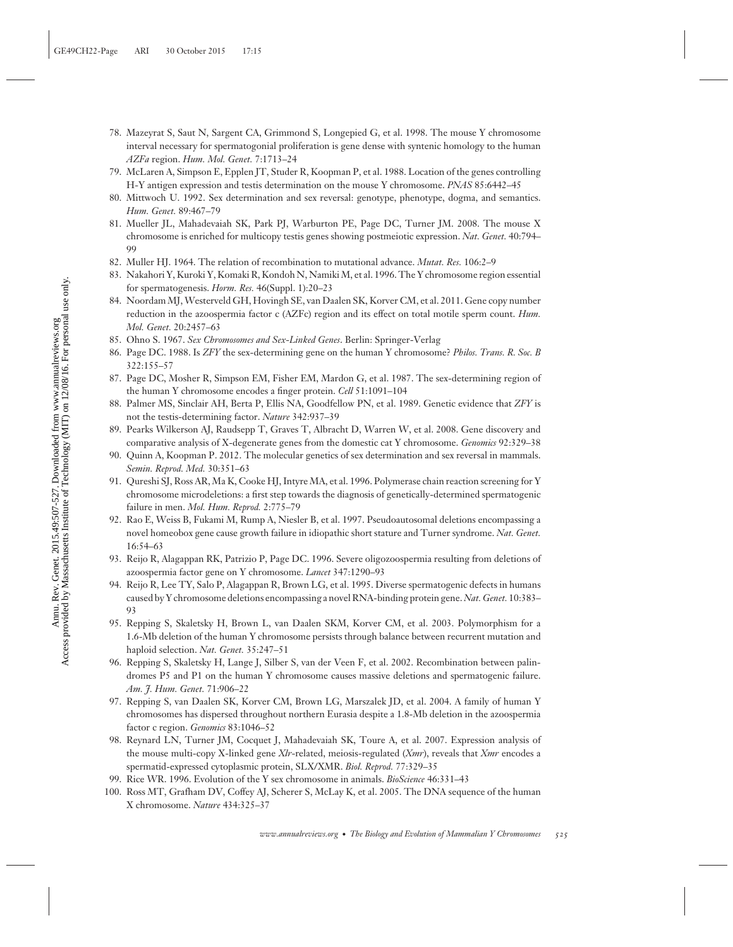- 78. Mazeyrat S, Saut N, Sargent CA, Grimmond S, Longepied G, et al. 1998. The mouse Y chromosome interval necessary for spermatogonial proliferation is gene dense with syntenic homology to the human *AZFa* region. *Hum. Mol. Genet.* 7:1713–24
- 79. McLaren A, Simpson E, Epplen JT, Studer R, Koopman P, et al. 1988. Location of the genes controlling H-Y antigen expression and testis determination on the mouse Y chromosome. *PNAS* 85:6442–45
- 80. Mittwoch U. 1992. Sex determination and sex reversal: genotype, phenotype, dogma, and semantics. *Hum. Genet.* 89:467–79
- 81. Mueller JL, Mahadevaiah SK, Park PJ, Warburton PE, Page DC, Turner JM. 2008. The mouse X chromosome is enriched for multicopy testis genes showing postmeiotic expression. *Nat. Genet.* 40:794– 99
- 82. Muller HJ. 1964. The relation of recombination to mutational advance. *Mutat. Res.* 106:2–9
- 83. Nakahori Y, Kuroki Y, Komaki R, Kondoh N, Namiki M, et al. 1996. The Y chromosome region essential for spermatogenesis. *Horm. Res.* 46(Suppl. 1):20–23
- 84. Noordam MJ,Westerveld GH, Hovingh SE, van Daalen SK, Korver CM, et al. 2011. Gene copy number reduction in the azoospermia factor c (AZFc) region and its effect on total motile sperm count. *Hum. Mol. Genet.* 20:2457–63
- 85. Ohno S. 1967. *Sex Chromosomes and Sex-Linked Genes*. Berlin: Springer-Verlag
- 86. Page DC. 1988. Is *ZFY* the sex-determining gene on the human Y chromosome? *Philos. Trans. R. Soc. B* 322:155–57
- 87. Page DC, Mosher R, Simpson EM, Fisher EM, Mardon G, et al. 1987. The sex-determining region of the human Y chromosome encodes a finger protein. *Cell* 51:1091–104
- 88. Palmer MS, Sinclair AH, Berta P, Ellis NA, Goodfellow PN, et al. 1989. Genetic evidence that *ZFY* is not the testis-determining factor. *Nature* 342:937–39
- 89. Pearks Wilkerson AJ, Raudsepp T, Graves T, Albracht D, Warren W, et al. 2008. Gene discovery and comparative analysis of X-degenerate genes from the domestic cat Y chromosome. *Genomics* 92:329–38
- 90. Quinn A, Koopman P. 2012. The molecular genetics of sex determination and sex reversal in mammals. *Semin. Reprod. Med.* 30:351–63
- 91. Qureshi SJ, Ross AR, Ma K, Cooke HJ, Intyre MA, et al. 1996. Polymerase chain reaction screening for Y chromosome microdeletions: a first step towards the diagnosis of genetically-determined spermatogenic failure in men. *Mol. Hum. Reprod.* 2:775–79
- 92. Rao E, Weiss B, Fukami M, Rump A, Niesler B, et al. 1997. Pseudoautosomal deletions encompassing a novel homeobox gene cause growth failure in idiopathic short stature and Turner syndrome. *Nat. Genet.* 16:54–63
- 93. Reijo R, Alagappan RK, Patrizio P, Page DC. 1996. Severe oligozoospermia resulting from deletions of azoospermia factor gene on Y chromosome. *Lancet* 347:1290–93
- 94. Reijo R, Lee TY, Salo P, Alagappan R, Brown LG, et al. 1995. Diverse spermatogenic defects in humans caused by Y chromosome deletions encompassing a novel RNA-binding protein gene.*Nat. Genet.* 10:383– 93
- 95. Repping S, Skaletsky H, Brown L, van Daalen SKM, Korver CM, et al. 2003. Polymorphism for a 1.6-Mb deletion of the human Y chromosome persists through balance between recurrent mutation and haploid selection. *Nat. Genet.* 35:247–51
- 96. Repping S, Skaletsky H, Lange J, Silber S, van der Veen F, et al. 2002. Recombination between palindromes P5 and P1 on the human Y chromosome causes massive deletions and spermatogenic failure. *Am. J. Hum. Genet.* 71:906–22
- 97. Repping S, van Daalen SK, Korver CM, Brown LG, Marszalek JD, et al. 2004. A family of human Y chromosomes has dispersed throughout northern Eurasia despite a 1.8-Mb deletion in the azoospermia factor c region. *Genomics* 83:1046–52
- 98. Reynard LN, Turner JM, Cocquet J, Mahadevaiah SK, Toure A, et al. 2007. Expression analysis of the mouse multi-copy X-linked gene *Xlr*-related, meiosis-regulated (*Xmr*), reveals that *Xmr* encodes a spermatid-expressed cytoplasmic protein, SLX/XMR. *Biol. Reprod.* 77:329–35
- 99. Rice WR. 1996. Evolution of the Y sex chromosome in animals. *BioScience* 46:331–43
- 100. Ross MT, Grafham DV, Coffey AJ, Scherer S, McLay K, et al. 2005. The DNA sequence of the human X chromosome. *Nature* 434:325–37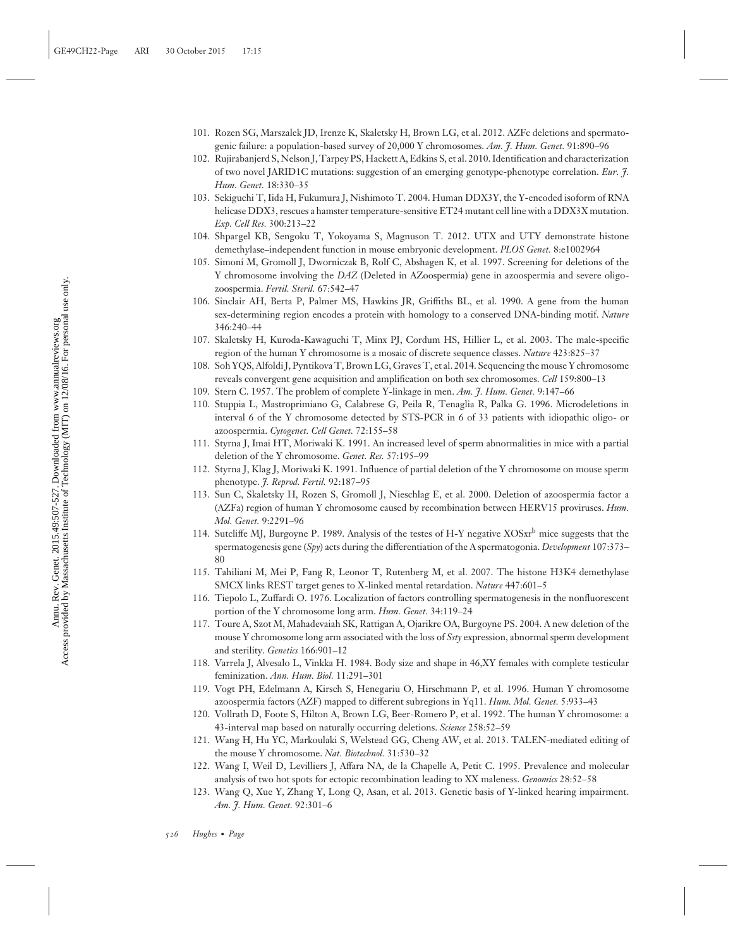- 101. Rozen SG, Marszalek JD, Irenze K, Skaletsky H, Brown LG, et al. 2012. AZFc deletions and spermatogenic failure: a population-based survey of 20,000 Y chromosomes. *Am. J. Hum. Genet.* 91:890–96
- 102. Rujirabanjerd S, Nelson J, Tarpey PS, Hackett A, Edkins S, et al. 2010. Identification and characterization of two novel JARID1C mutations: suggestion of an emerging genotype-phenotype correlation. *Eur. J. Hum. Genet.* 18:330–35
- 103. Sekiguchi T, Iida H, Fukumura J, Nishimoto T. 2004. Human DDX3Y, the Y-encoded isoform of RNA helicase DDX3, rescues a hamster temperature-sensitive ET24 mutant cell line with a DDX3X mutation. *Exp. Cell Res.* 300:213–22
- 104. Shpargel KB, Sengoku T, Yokoyama S, Magnuson T. 2012. UTX and UTY demonstrate histone demethylase–independent function in mouse embryonic development. *PLOS Genet.* 8:e1002964
- 105. Simoni M, Gromoll J, Dworniczak B, Rolf C, Abshagen K, et al. 1997. Screening for deletions of the Y chromosome involving the *DAZ* (Deleted in AZoospermia) gene in azoospermia and severe oligozoospermia. *Fertil. Steril.* 67:542–47
- 106. Sinclair AH, Berta P, Palmer MS, Hawkins JR, Griffiths BL, et al. 1990. A gene from the human sex-determining region encodes a protein with homology to a conserved DNA-binding motif. *Nature* 346:240–44
- 107. Skaletsky H, Kuroda-Kawaguchi T, Minx PJ, Cordum HS, Hillier L, et al. 2003. The male-specific region of the human Y chromosome is a mosaic of discrete sequence classes. *Nature* 423:825–37
- 108. Soh YQS, Alfoldi J, Pyntikova T, Brown LG, Graves T, et al. 2014. Sequencing the mouse Y chromosome reveals convergent gene acquisition and amplification on both sex chromosomes. *Cell* 159:800–13
- 109. Stern C. 1957. The problem of complete Y-linkage in men. *Am. J. Hum. Genet.* 9:147–66
- 110. Stuppia L, Mastroprimiano G, Calabrese G, Peila R, Tenaglia R, Palka G. 1996. Microdeletions in interval 6 of the Y chromosome detected by STS-PCR in 6 of 33 patients with idiopathic oligo- or azoospermia. *Cytogenet. Cell Genet.* 72:155–58
- 111. Styrna J, Imai HT, Moriwaki K. 1991. An increased level of sperm abnormalities in mice with a partial deletion of the Y chromosome. *Genet. Res.* 57:195–99
- 112. Styrna J, Klag J, Moriwaki K. 1991. Influence of partial deletion of the Y chromosome on mouse sperm phenotype. *J. Reprod. Fertil.* 92:187–95
- 113. Sun C, Skaletsky H, Rozen S, Gromoll J, Nieschlag E, et al. 2000. Deletion of azoospermia factor a (AZFa) region of human Y chromosome caused by recombination between HERV15 proviruses. *Hum. Mol. Genet.* 9:2291–96
- 114. Sutcliffe MJ, Burgoyne P. 1989. Analysis of the testes of H-Y negative  $XOSxr^b$  mice suggests that the spermatogenesis gene (*Spy*) acts during the differentiation of the A spermatogonia. *Development* 107:373– 80
- 115. Tahiliani M, Mei P, Fang R, Leonor T, Rutenberg M, et al. 2007. The histone H3K4 demethylase SMCX links REST target genes to X-linked mental retardation. *Nature* 447:601–5
- 116. Tiepolo L, Zuffardi O. 1976. Localization of factors controlling spermatogenesis in the nonfluorescent portion of the Y chromosome long arm. *Hum. Genet.* 34:119–24
- 117. Toure A, Szot M, Mahadevaiah SK, Rattigan A, Ojarikre OA, Burgoyne PS. 2004. A new deletion of the mouse Y chromosome long arm associated with the loss of *Ssty* expression, abnormal sperm development and sterility. *Genetics* 166:901–12
- 118. Varrela J, Alvesalo L, Vinkka H. 1984. Body size and shape in 46,XY females with complete testicular feminization. *Ann. Hum. Biol.* 11:291–301
- 119. Vogt PH, Edelmann A, Kirsch S, Henegariu O, Hirschmann P, et al. 1996. Human Y chromosome azoospermia factors (AZF) mapped to different subregions in Yq11. *Hum. Mol. Genet.* 5:933–43
- 120. Vollrath D, Foote S, Hilton A, Brown LG, Beer-Romero P, et al. 1992. The human Y chromosome: a 43-interval map based on naturally occurring deletions. *Science* 258:52–59
- 121. Wang H, Hu YC, Markoulaki S, Welstead GG, Cheng AW, et al. 2013. TALEN-mediated editing of the mouse Y chromosome. *Nat. Biotechnol.* 31:530–32
- 122. Wang I, Weil D, Levilliers J, Affara NA, de la Chapelle A, Petit C. 1995. Prevalence and molecular analysis of two hot spots for ectopic recombination leading to XX maleness. *Genomics* 28:52–58
- 123. Wang Q, Xue Y, Zhang Y, Long Q, Asan, et al. 2013. Genetic basis of Y-linked hearing impairment. *Am. J. Hum. Genet.* 92:301–6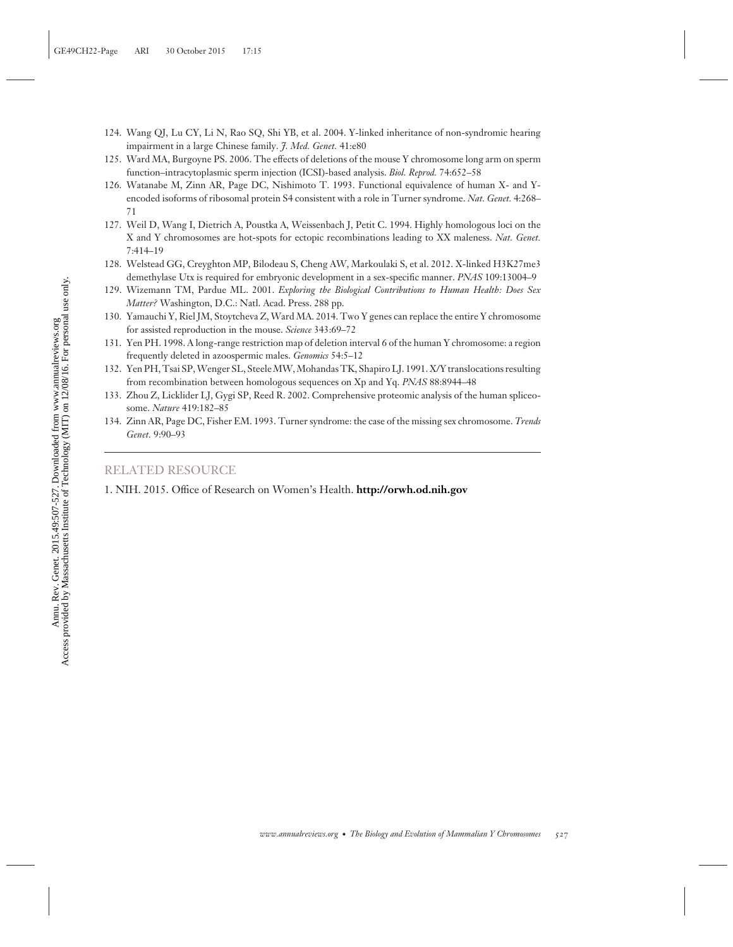- 124. Wang QJ, Lu CY, Li N, Rao SQ, Shi YB, et al. 2004. Y-linked inheritance of non-syndromic hearing impairment in a large Chinese family. *J. Med. Genet.* 41:e80
- 125. Ward MA, Burgoyne PS. 2006. The effects of deletions of the mouse Y chromosome long arm on sperm function–intracytoplasmic sperm injection (ICSI)-based analysis. *Biol. Reprod.* 74:652–58
- 126. Watanabe M, Zinn AR, Page DC, Nishimoto T. 1993. Functional equivalence of human X- and Yencoded isoforms of ribosomal protein S4 consistent with a role in Turner syndrome. *Nat. Genet.* 4:268– 71
- 127. Weil D, Wang I, Dietrich A, Poustka A, Weissenbach J, Petit C. 1994. Highly homologous loci on the X and Y chromosomes are hot-spots for ectopic recombinations leading to XX maleness. *Nat. Genet.* 7:414–19
- 128. Welstead GG, Creyghton MP, Bilodeau S, Cheng AW, Markoulaki S, et al. 2012. X-linked H3K27me3 demethylase Utx is required for embryonic development in a sex-specific manner. *PNAS* 109:13004–9
- 129. Wizemann TM, Pardue ML. 2001. *Exploring the Biological Contributions to Human Health: Does Sex Matter?* Washington, D.C.: Natl. Acad. Press. 288 pp.
- 130. Yamauchi Y, Riel JM, Stoytcheva Z, Ward MA. 2014. Two Y genes can replace the entire Y chromosome for assisted reproduction in the mouse. *Science* 343:69–72
- 131. Yen PH. 1998. A long-range restriction map of deletion interval 6 of the human Y chromosome: a region frequently deleted in azoospermic males. *Genomics* 54:5–12
- 132. Yen PH, Tsai SP,Wenger SL, SteeleMW,Mohandas TK, Shapiro LJ. 1991. X/Y translocations resulting from recombination between homologous sequences on Xp and Yq. *PNAS* 88:8944–48
- 133. Zhou Z, Licklider LJ, Gygi SP, Reed R. 2002. Comprehensive proteomic analysis of the human spliceosome. *Nature* 419:182–85
- 134. Zinn AR, Page DC, Fisher EM. 1993. Turner syndrome: the case of the missing sex chromosome. *Trends Genet.* 9:90–93

## RELATED RESOURCE

1. NIH. 2015. Office of Research on Women's Health. **<http://orwh.od.nih.gov>**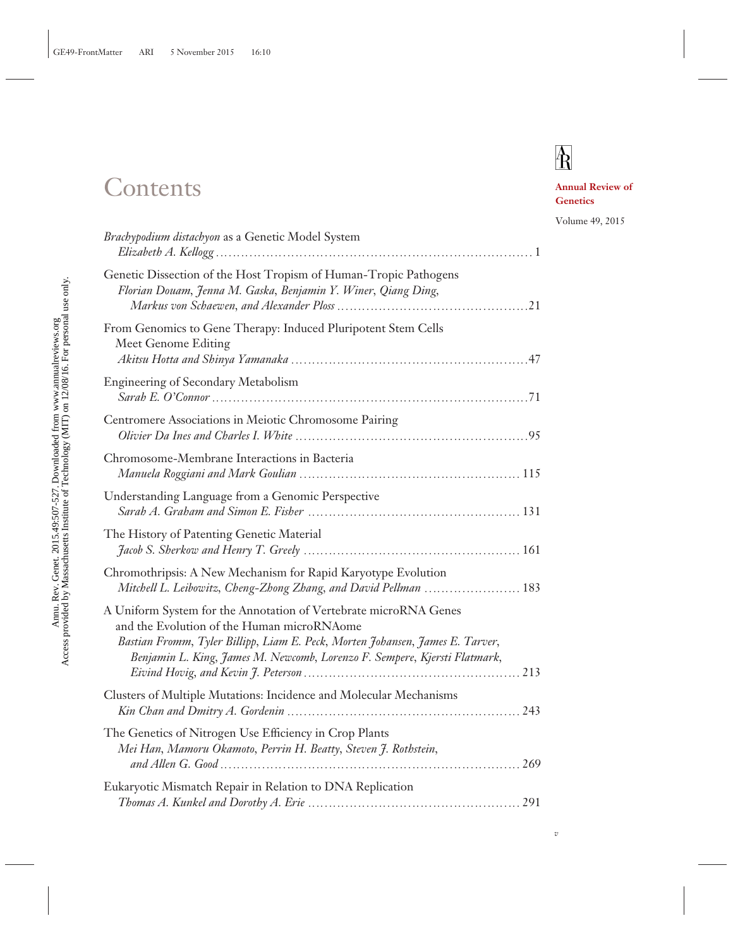## **Contents**

*v*

**Annual Review of Genetics**

| Brachypodium distachyon as a Genetic Model System                                                                                                                                                                                                                            |
|------------------------------------------------------------------------------------------------------------------------------------------------------------------------------------------------------------------------------------------------------------------------------|
| Genetic Dissection of the Host Tropism of Human-Tropic Pathogens<br>Florian Douam, Jenna M. Gaska, Benjamin Y. Winer, Qiang Ding,                                                                                                                                            |
| From Genomics to Gene Therapy: Induced Pluripotent Stem Cells<br>Meet Genome Editing                                                                                                                                                                                         |
| <b>Engineering of Secondary Metabolism</b>                                                                                                                                                                                                                                   |
| Centromere Associations in Meiotic Chromosome Pairing                                                                                                                                                                                                                        |
| Chromosome-Membrane Interactions in Bacteria                                                                                                                                                                                                                                 |
| Understanding Language from a Genomic Perspective                                                                                                                                                                                                                            |
| The History of Patenting Genetic Material                                                                                                                                                                                                                                    |
| Chromothripsis: A New Mechanism for Rapid Karyotype Evolution<br>Mitchell L. Leibowitz, Cheng-Zhong Zhang, and David Pellman  183                                                                                                                                            |
| A Uniform System for the Annotation of Vertebrate microRNA Genes<br>and the Evolution of the Human microRNAome<br>Bastian Fromm, Tyler Billipp, Liam E. Peck, Morten Johansen, James E. Tarver,<br>Benjamin L. King, James M. Newcomb, Lorenzo F. Sempere, Kjersti Flatmark, |
| Clusters of Multiple Mutations: Incidence and Molecular Mechanisms                                                                                                                                                                                                           |
| The Genetics of Nitrogen Use Efficiency in Crop Plants<br>Mei Han, Mamoru Okamoto, Perrin H. Beatty, Steven J. Rothstein,                                                                                                                                                    |
| Eukaryotic Mismatch Repair in Relation to DNA Replication                                                                                                                                                                                                                    |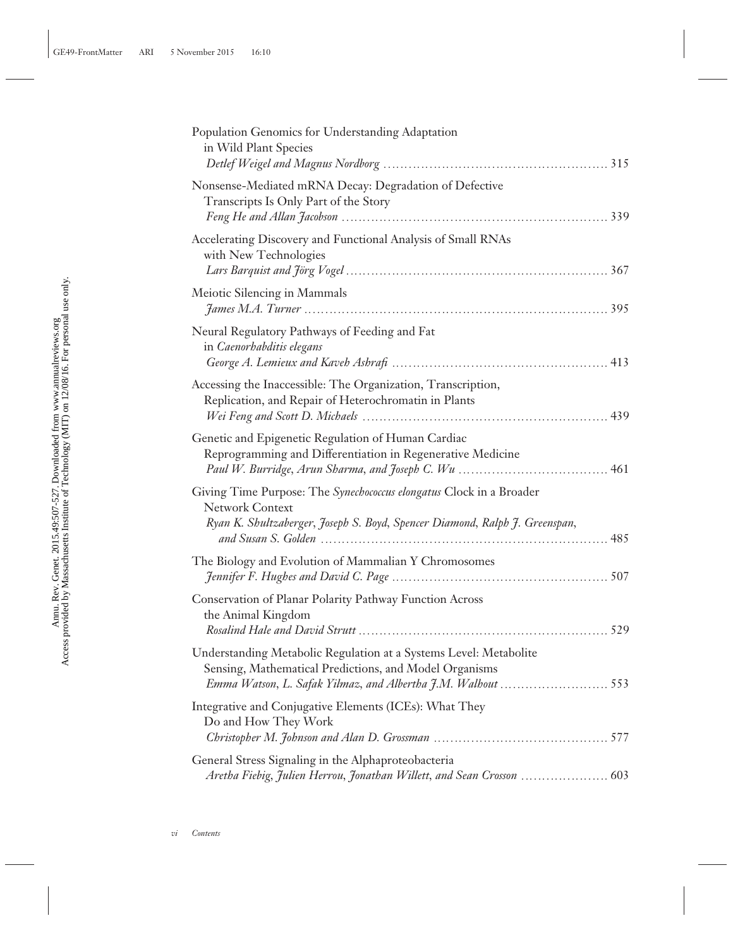| Population Genomics for Understanding Adaptation<br>in Wild Plant Species                                                                                                    |
|------------------------------------------------------------------------------------------------------------------------------------------------------------------------------|
| Nonsense-Mediated mRNA Decay: Degradation of Defective<br>Transcripts Is Only Part of the Story                                                                              |
| Accelerating Discovery and Functional Analysis of Small RNAs<br>with New Technologies                                                                                        |
| Meiotic Silencing in Mammals                                                                                                                                                 |
| Neural Regulatory Pathways of Feeding and Fat<br>in Caenorhabditis elegans                                                                                                   |
| Accessing the Inaccessible: The Organization, Transcription,<br>Replication, and Repair of Heterochromatin in Plants                                                         |
| Genetic and Epigenetic Regulation of Human Cardiac<br>Reprogramming and Differentiation in Regenerative Medicine                                                             |
| Giving Time Purpose: The Synechococcus elongatus Clock in a Broader<br><b>Network Context</b><br>Ryan K. Shultzaberger, Joseph S. Boyd, Spencer Diamond, Ralph J. Greenspan, |
| The Biology and Evolution of Mammalian Y Chromosomes                                                                                                                         |
| <b>Conservation of Planar Polarity Pathway Function Across</b><br>the Animal Kingdom                                                                                         |
| Understanding Metabolic Regulation at a Systems Level: Metabolite<br>Sensing, Mathematical Predictions, and Model Organisms                                                  |
| Integrative and Conjugative Elements (ICEs): What They<br>Do and How They Work                                                                                               |
| General Stress Signaling in the Alphaproteobacteria<br>Aretha Fiebig, Julien Herrou, Jonathan Willett, and Sean Crosson  603                                                 |